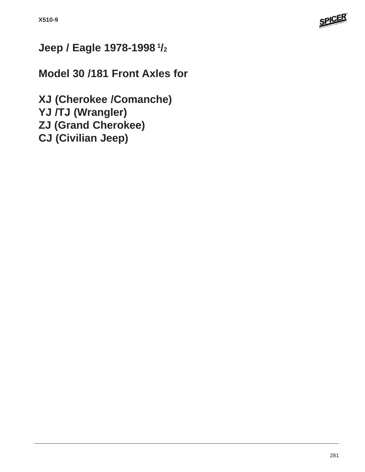

# **Jeep / Eagle 1978-1998 1/2**

# **Model 30 /181 Front Axles for**

**XJ (Cherokee /Comanche) YJ /TJ (Wrangler) ZJ (Grand Cherokee) CJ (Civilian Jeep)**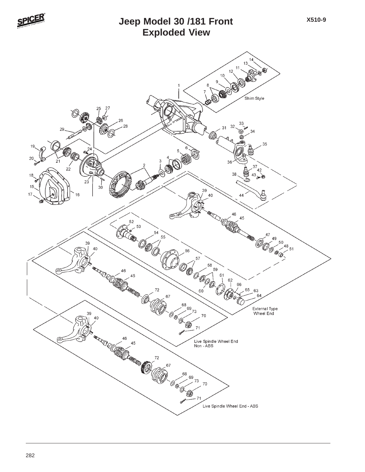

## **Exploded View Jeep Model 30 /181 Front**

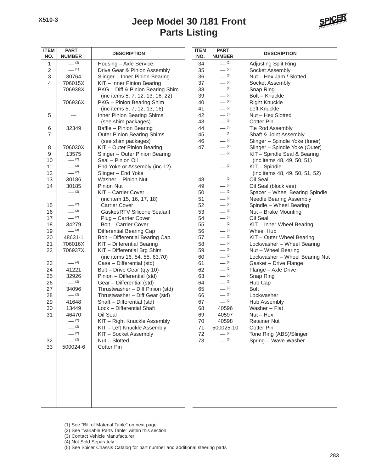# **Parts Listing Jeep Model 30 /181 Front**



| <b>ITEM</b><br>NO. | <b>PART</b><br><b>NUMBER</b> | <b>DESCRIPTION</b>                | <b>ITEM</b><br>NO. | <b>PART</b><br><b>NUMBER</b> | <b>DESCRIPTION</b>             |
|--------------------|------------------------------|-----------------------------------|--------------------|------------------------------|--------------------------------|
| $\mathbf{1}$       | $- (3)$                      | Housing - Axle Service            | 34                 | $- (2)$                      | Adjusting Split Ring           |
| $\overline{2}$     | $- (1)$                      | Drive Gear & Pinion Assembly      | 35                 | $- (2)$                      | Socket Assembly                |
| 3                  | 30764                        | Slinger - Inner Pinion Bearing    | 36                 | $- (2)$                      | Nut - Hex Jam / Slotted        |
| 4                  | 706015X                      | KIT - Inner Pinion Bearing        | 37                 | $- (2)$                      | Socket Assembly                |
|                    | 706938X                      | PKG - Diff & Pinion Bearing Shim  | 38                 | $- (2)$                      | Snap Ring                      |
|                    |                              | (inc items 5, 7, 12, 13, 16, 22)  | 39                 | $- (2)$                      | Bolt - Knuckle                 |
|                    | 706936X                      | PKG - Pinion Bearing Shim         | 40                 | $- (2)$                      | <b>Right Knuckle</b>           |
|                    |                              | (inc items 5, 7, 12, 13, 16)      | 41                 | $- (2)$                      | Left Knuckle                   |
| 5                  |                              | Inner Pinion Bearing Shims        | 42                 | $- (3)$                      | Nut - Hex Slotted              |
|                    |                              |                                   |                    | $- (3)$                      | <b>Cotter Pin</b>              |
|                    |                              | (see shim packages)               | 43                 | $- (5)$                      |                                |
| 6                  | 32349                        | Baffle - Pinion Bearing           | 44                 |                              | Tie Rod Assembly               |
| $\overline{7}$     |                              | <b>Outer Pinion Bearing Shims</b> | 45                 | $- (1)$                      | Shaft & Joint Assembly         |
|                    |                              | (see shim packages)               | 46                 | $- (2)$                      | Slinger - Spindle Yoke (Inner) |
| 8                  | 706030X                      | KIT - Outer Pinion Bearing        | 47                 | $- (2)$                      | Slinger - Spindle Yoke (Outer) |
| 9                  | 13575                        | Slinger - Outer Pinion Bearing    |                    | $- (2)$                      | KIT - Spindle Seal & Bearing   |
| 10                 | $- (2)$                      | Seal - Pinion Oil                 |                    |                              | (inc items 48, 49, 50, 51)     |
| 11                 | $- (2)$                      | End Yoke or Assembly (inc 12)     |                    | $- (2)$                      | KIT - Spindle                  |
| 12                 | $- (2)$                      | Slinger - End Yoke                |                    |                              | (inc items 48, 49, 50, 51, 52) |
| 13                 | 30186                        | Washer - Pinion Nut               | 48                 | $- (2)$                      | Oil Seal                       |
| 14                 | 30185                        | Pinion Nut                        | 49                 | $- (2)$                      | Oil Seal (block vee)           |
|                    | $- (2)$                      | KIT - Carrier Cover               | 50                 | $- (2)$                      | Spacer - Wheel Bearing Spindle |
|                    |                              | (inc item 15, 16, 17, 18)         | 51                 | $- (2)$                      | Needle Bearing Assembly        |
| 15                 | $- (2)$                      | <b>Carrier Cover</b>              | 52                 | $- (2)$                      | Spindle - Wheel Bearing        |
| 16                 | $- (2)$                      | Gasket/RTV Silicone Sealant       | 53                 | $- (3)$                      | Nut - Brake Mounting           |
| 17                 | $- (2)$                      | Plug - Carrier Cover              | 54                 | $- (3)$                      | Oil Seal                       |
| 18                 | 34279                        | Bolt - Carrier Cover              | 55                 | $- (2)$                      | KIT - Inner Wheel Bearing      |
| 19                 | $- (3)$                      | Differential Bearing Cap          | 56                 | $- (3)$                      | <b>Wheel Hub</b>               |
| 20                 | 48631-1                      | Bolt - Differential Bearing Cap   | 57                 | $- (2)$                      | KIT - Outer Wheel Bearing      |
| 21                 | 706016X                      | KIT - Differential Bearing        | 58                 | $- (2)$                      | Lockwasher - Wheel Bearing     |
| 22                 | 706937X                      | KIT - Differential Brg Shim       | 59                 | $- (2)$                      | Nut - Wheel Bearing            |
|                    |                              | (inc items 16, 54, 55, 63,70)     | 60                 | $- (2)$                      | Lockwasher - Wheel Bearing Nut |
| 23                 | $- (4)$                      | Case - Differential (std)         | 61                 | $- (2)$                      | Gasket - Drive Flange          |
| 24                 | 41221                        | Bolt - Drive Gear (qty 10)        | 62                 | $- (2)$                      | Flange - Axle Drive            |
| 25                 | 32926                        | Pinion - Differential (std)       | 63                 | $- (2)$                      | Snap Ring                      |
| 26                 | $-$ (2)                      | Gear - Differential (std)         | 64                 | $- (2)$                      | Hub Cap                        |
| 27                 | 34096                        | Thrustwasher - Diff Pinion (std)  | 65                 | $- (3)$                      | <b>Bolt</b>                    |
| 28                 | $- (2)$                      | Thrustwasher - Diff Gear (std)    | 66                 | $- (2)$                      | Lockwasher                     |
| 29                 | 41648                        | Shaft - Differential (std)        | 67                 | $- (2)$                      | Hub Assembly                   |
| 30                 | 13449                        | Lock - Differential Shaft         | 68                 | 40596                        | Washer - Flat                  |
| 31                 | 46470                        | Oil Seal                          | 69                 | 40597                        | $Nut - Hex$                    |
|                    | $- (2)$                      | KIT - Right Knuckle Assembly      | 70                 | 40598                        | <b>Retainer Nut</b>            |
|                    | $- (2)$                      | KIT - Left Knuckle Assembly       | 71                 | 500025-10                    | <b>Cotter Pin</b>              |
|                    | $- (2)$                      | KIT - Socket Assembly             | 72                 | $- (2)$                      | Tone Ring (ABS)/Slinger        |
| 32                 | $- (2)$                      | Nut - Slotted                     | 73                 | $- (2)$                      | Spring - Wave Washer           |
| 33                 | 500024-6                     | Cotter Pin                        |                    |                              |                                |
|                    |                              |                                   |                    |                              |                                |
|                    |                              |                                   |                    |                              |                                |
|                    |                              |                                   |                    |                              |                                |
|                    |                              |                                   |                    |                              |                                |
|                    |                              |                                   |                    |                              |                                |
|                    |                              |                                   |                    |                              |                                |
|                    |                              |                                   |                    |                              |                                |
|                    |                              |                                   |                    |                              |                                |
|                    |                              |                                   |                    |                              |                                |
|                    |                              |                                   |                    |                              |                                |

(1) See "Bill of Material Table" on next page

- (2) See "Variable Parts Table" within this section
- (3) Contact Vehicle Manufacturer

(4) Not Sold Separately

(5) See Spicer Chassis Catalog for part number and additional steering parts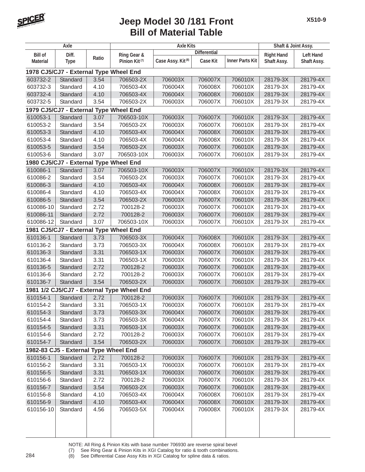

| Axle            |                                       |       | <b>Axle Kits</b>                           |                               |                     |                        | Shaft & Joint Assy. |                  |
|-----------------|---------------------------------------|-------|--------------------------------------------|-------------------------------|---------------------|------------------------|---------------------|------------------|
| <b>Bill of</b>  | Diff.                                 |       | Ring Gear &                                |                               | <b>Differential</b> |                        | <b>Right Hand</b>   | <b>Left Hand</b> |
| <b>Material</b> | <b>Type</b>                           | Ratio | Pinion Kit <sup>(7)</sup>                  | Case Assy. Kit <sup>(8)</sup> | <b>Case Kit</b>     | <b>Inner Parts Kit</b> | <b>Shaft Assy.</b>  | Shaft Assy.      |
|                 |                                       |       | 1978 CJ5/CJ7 - External Type Wheel End     |                               |                     |                        |                     |                  |
| 603732-2        | Standard                              | 3.54  | 706503-2X                                  | 706003X                       | 706007X             | 706010X                | 28179-3X            | 28179-4X         |
| 603732-3        | Standard                              | 4.10  | 706503-4X                                  | 706004X                       | 706008X             | 706010X                | 28179-3X            | 28179-4X         |
| 603732-4        | Standard                              | 4.10  | 706503-4X                                  | 706004X                       | 706008X             | 706010X                | 28179-3X            | 28179-4X         |
| 603732-5        | Standard                              | 3.54  | 706503-2X                                  | 706003X                       | 706007X             | 706010X                | 28179-3X            | 28179-4X         |
|                 |                                       |       | 1979 CJ5/CJ7 - External Type Wheel End     |                               |                     |                        |                     |                  |
| 610053-1        | Standard                              | 3.07  | 706503-10X                                 | 706003X                       | 706007X             | 706010X                | 28179-3X            | 28179-4X         |
| 610053-2        | Standard                              | 3.54  | 706503-2X                                  | 706003X                       | 706007X             | 706010X                | 28179-3X            | 28179-4X         |
| 610053-3        | Standard                              | 4.10  | 706503-4X                                  | 706004X                       | 706008X             | 706010X                | 28179-3X            | 28179-4X         |
| 610053-4        | Standard                              | 4.10  | 706503-4X                                  | 706004X                       | 706008X             | 706010X                | 28179-3X            | 28179-4X         |
| 610053-5        | Standard                              | 3.54  | 706503-2X                                  | 706003X                       | 706007X             | 706010X                | 28179-3X            | 28179-4X         |
| 610053-6        | Standard                              | 3.07  | 706503-10X                                 | 706003X                       | 706007X             | 706010X                | 28179-3X            | 28179-4X         |
|                 |                                       |       | 1980 CJ5/CJ7 - External Type Wheel End     |                               |                     |                        |                     |                  |
| 610086-1        | Standard                              | 3.07  | 706503-10X                                 | 706003X                       | 706007X             | 706010X                | 28179-3X            | 28179-4X         |
| 610086-2        | Standard                              | 3.54  | 706503-2X                                  | 706003X                       | 706007X             | 706010X                | 28179-3X            | 28179-4X         |
| 610086-3        | Standard                              | 4.10  | 706503-4X                                  | 706004X                       | 706008X             | 706010X                | 28179-3X            | 28179-4X         |
| 610086-4        | Standard                              | 4.10  | 706503-4X                                  | 706004X                       | 706008X             | 706010X                | 28179-3X            | 28179-4X         |
| 610086-5        | Standard                              | 3.54  | 706503-2X                                  | 706003X                       | 706007X             | 706010X                | 28179-3X            | 28179-4X         |
| 610086-10       | Standard                              | 2.72  | 700128-2                                   | 706003X                       | 706007X             | 706010X                | 28179-3X            | 28179-4X         |
| 610086-11       | Standard                              | 2.72  | 700128-2                                   | 706003X                       | 706007X             | 706010X                | 28179-3X            | 28179-4X         |
| 610086-12       | Standard                              | 3.07  | 706503-10X                                 | 706003X                       | 706007X             | 706010X                | 28179-3X            | 28179-4X         |
|                 |                                       |       | 1981 CJ5/CJ7 - External Type Wheel End     |                               |                     |                        |                     |                  |
| 610136-1        | Standard                              | 3.73  | 706503-3X                                  | 706004X                       | 706008X             | 706010X                | 28179-3X            | 28179-4X         |
| 610136-2        | Standard                              | 3.73  | 706503-3X                                  | 706004X                       | 706008X             | 706010X                | 28179-3X            | 28179-4X         |
| 610136-3        | Standard                              | 3.31  | 706503-1X                                  | 706003X                       | 706007X             | 706010X                | 28179-3X            | 28179-4X         |
| 610136-4        | Standard                              | 3.31  | 706503-1X                                  | 706003X                       | 706007X             | 706010X                | 28179-3X            | 28179-4X         |
| 610136-5        | Standard                              | 2.72  | 700128-2                                   | 706003X                       | 706007X             | 706010X                | 28179-3X            | 28179-4X         |
| 610136-6        | Standard                              | 2.72  | 700128-2                                   | 706003X                       | 706007X             | 706010X                | 28179-3X            | 28179-4X         |
| 610136-7        | Standard                              | 3.54  | 706503-2X                                  | 706003X                       | 706007X             | 706010X                | 28179-3X            | 28179-4X         |
|                 |                                       |       | 1981 1/2 CJ5/CJ7 - External Type Wheel End |                               |                     |                        |                     |                  |
| 610154-1        | Standard                              | 2.72  | 700128-2                                   | 706003X                       | 706007X             | 706010X                | 28179-3X            | 28179-4X         |
| 610154-2        | Standard                              | 3.31  | 706503-1X                                  | 706003X                       | 706007X             | 706010X                | 28179-3X            | 28179-4X         |
| 610154-3        | Standard                              | 3.73  | 706503-3X                                  | 706004X                       | 706007X             | 706010X                | 28179-3X            | 28179-4X         |
| 610154-4        | Standard                              | 3.73  | 706503-3X                                  | 706004X                       | 706007X             | 706010X                | 28179-3X            | 28179-4X         |
| 610154-5        | Standard                              | 3.31  | 706503-1X                                  | 706003X                       | 706007X             | 706010X                | 28179-3X            | 28179-4X         |
| 610154-6        | Standard                              | 2.72  | 700128-2                                   | 706003X                       | 706007X             | 706010X                | 28179-3X            | 28179-4X         |
| 610154-7        | Standard                              | 3.54  | 706503-2X                                  | 706003X                       | 706007X             | 706010X                | 28179-3X            | 28179-4X         |
|                 | 1982-83 CJ5 - External Type Wheel End |       |                                            |                               |                     |                        |                     |                  |
| 610156-1        | Standard                              | 2.72  | 700128-2                                   | 706003X                       | 706007X             | 706010X                | 28179-3X            | 28179-4X         |
| 610156-2        | Standard                              | 3.31  | 706503-1X                                  | 706003X                       | 706007X             | 706010X                | 28179-3X            | 28179-4X         |
| 610156-5        | Standard                              | 3.31  | 706503-1X                                  | 706003X                       | 706007X             | 706010X                | 28179-3X            | 28179-4X         |
| 610156-6        | Standard                              | 2.72  | 700128-2                                   | 706003X                       | 706007X             | 706010X                | 28179-3X            | 28179-4X         |
| 610156-7        | Standard                              | 3.54  | 706503-2X                                  | 706003X                       | 706007X             | 706010X                | 28179-3X            | 28179-4X         |
| 610156-8        | Standard                              | 4.10  | 706503-4X                                  | 706004X                       | 706008X             | 706010X                | 28179-3X            | 28179-4X         |
| 610156-9        | Standard                              | 4.10  | 706503-4X                                  | 706004X                       | 706008X             | 706010X                | 28179-3X            | 28179-4X         |
| 610156-10       | Standard                              | 4.56  | 706503-5X                                  | 706004X                       | 706008X             | 706010X                | 28179-3X            | 28179-4X         |
|                 |                                       |       |                                            |                               |                     |                        |                     |                  |
|                 |                                       |       |                                            |                               |                     |                        |                     |                  |
|                 |                                       |       |                                            |                               |                     |                        |                     |                  |

NOTE: All Ring & Pinion Kits with base number 706930 are reverse spiral bevel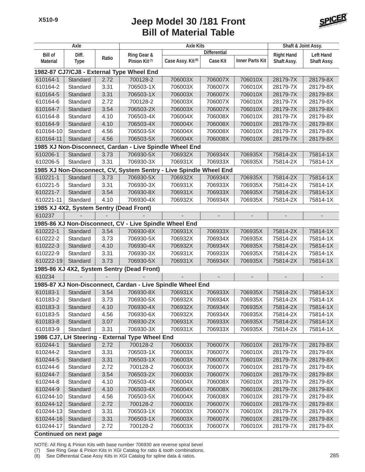

|                               | Axle        |       |                                                                    | Shaft & Joint Assy.           |                          |                          |                   |                  |
|-------------------------------|-------------|-------|--------------------------------------------------------------------|-------------------------------|--------------------------|--------------------------|-------------------|------------------|
| <b>Bill of</b>                | Diff.       |       | Ring Gear &                                                        |                               | <b>Differential</b>      |                          | <b>Right Hand</b> | <b>Left Hand</b> |
| <b>Material</b>               | <b>Type</b> | Ratio | Pinion Kit <sup>(7)</sup>                                          | Case Assy. Kit <sup>(8)</sup> | <b>Case Kit</b>          | <b>Inner Parts Kit</b>   | Shaft Assy.       | Shaft Assy.      |
|                               |             |       | 1982-87 CJ7/CJ8 - External Type Wheel End                          |                               |                          |                          |                   |                  |
| 610164-1                      | Standard    | 2.72  | 700128-2                                                           | 706003X                       | 706007X                  | 706010X                  | 28179-7X          | 28179-8X         |
| 610164-2                      | Standard    | 3.31  | 706503-1X                                                          | 706003X                       | 706007X                  | 706010X                  | 28179-7X          | 28179-8X         |
| 610164-5                      | Standard    | 3.31  | 706503-1X                                                          | 706003X                       | 706007X                  | 706010X                  | 28179-7X          | 28179-8X         |
| 610164-6                      | Standard    | 2.72  | 700128-2                                                           | 706003X                       | 706007X                  | 706010X                  | 28179-7X          | 28179-8X         |
| 610164-7                      | Standard    | 3.54  | 706503-2X                                                          | 706003X                       | 706007X                  | 706010X                  | 28179-7X          | 28179-8X         |
| 610164-8                      | Standard    | 4.10  | 706503-4X                                                          | 706004X                       | 706008X                  | 706010X                  | 28179-7X          | 28179-8X         |
| 610164-9                      | Standard    | 4.10  | 706503-4X                                                          | 706004X                       | 706008X                  | 706010X                  | 28179-7X          | 28179-8X         |
| 610164-10                     | Standard    | 4.56  | 706503-5X                                                          | 706004X                       | 706008X                  | 706010X                  | 28179-7X          | 28179-8X         |
| 610164-11                     | Standard    | 4.56  | 706503-5X                                                          | 706004X                       | 706008X                  | 706010X                  | 28179-7X          | 28179-8X         |
|                               |             |       | 1985 XJ Non-Disconnect, Cardan - Live Spindle Wheel End            |                               |                          |                          |                   |                  |
| 610206-1                      | Standard    | 3.73  | 706930-5X                                                          | 706932X                       | 706934X                  | 706935X                  | 75814-2X          | 75814-1X         |
| 610206-5                      | Standard    | 3.31  | 706930-3X                                                          | 706931X                       | 706933X                  | 706935X                  | 75814-2X          | 75814-1X         |
|                               |             |       | 1985 XJ Non-Disconnect, CV, System Sentry - Live Spindle Wheel End |                               |                          |                          |                   |                  |
| 610221-1                      | Standard    | 3.73  | 706930-5X                                                          | 706932X                       | 706934X                  | 706935X                  | 75814-2X          | 75814-1X         |
| 610221-5                      | Standard    | 3.31  | 706930-3X                                                          | 706931X                       | 706933X                  | 706935X                  | 75814-2X          | 75814-1X         |
| 610221-7                      | Standard    | 3.54  | 706930-8X                                                          | 706931X                       | 706933X                  | 706935X                  | 75814-2X          | 75814-1X         |
| 610221-11                     | Standard    | 4.10  | 706930-4X                                                          | 706932X                       | 706934X                  | 706935X                  | 75814-2X          | 75814-1X         |
|                               |             |       | 1985 XJ 4X2, System Sentry (Dead Front)                            |                               |                          |                          |                   |                  |
| 610237                        |             |       |                                                                    |                               |                          |                          |                   |                  |
|                               |             |       | 1985-86 XJ Non-Disconnect, CV - Live Spindle Wheel End             |                               |                          |                          |                   |                  |
| 610222-1                      | Standard    | 3.54  | 706930-8X                                                          | 706931X                       | 706933X                  | 706935X                  | 75814-2X          | 75814-1X         |
| 610222-2                      | Standard    | 3.73  | 706930-5X                                                          | 706932X                       | 706934X                  | 706935X                  | 75814-2X          | 75814-1X         |
| 610222-3                      | Standard    | 4.10  | 706930-4X                                                          | 706932X                       | 706934X                  | 706935X                  | 75814-2X          | 75814-1X         |
| 610222-9                      | Standard    | 3.31  | 706930-3X                                                          | 706931X                       | 706933X                  | 706935X                  | 75814-2X          | 75814-1X         |
| 610222-19                     | Standard    | 3.73  | 706930-5X                                                          | 706931X                       | 706934X                  | 706935X                  | 75814-2X          | 75814-1X         |
|                               |             |       | 1985-86 XJ 4X2, System Sentry (Dead Front)                         |                               |                          |                          |                   |                  |
| 610234                        |             |       |                                                                    |                               | $\overline{\phantom{a}}$ | $\overline{\phantom{a}}$ |                   |                  |
|                               |             |       | 1985-87 XJ Non-Disconnect, Cardan - Live Spindle Wheel End         |                               |                          |                          |                   |                  |
| 610183-1                      | Standard    | 3.54  | 706930-8X                                                          | 706931X                       | 706933X                  | 706935X                  | 75814-2X          | 75814-1X         |
| 610183-2                      | Standard    | 3.73  | 706930-5X                                                          | 706932X                       | 706934X                  | 706935X                  | 75814-2X          | 75814-1X         |
| 610183-3                      | Standard    | 4.10  | 706930-4X                                                          | 706932X                       | 706934X                  | 706935X                  | 75814-2X          | 75814-1X         |
| 610183-5                      | Standard    | 4.56  | 706930-6X                                                          | 706932X                       | 706934X                  | 706935X                  | 75814-2X          | 75814-1X         |
| 610183-8                      | Standard    | 3.07  | 706930-2X                                                          | 706931X                       | 706933X                  | 706935X                  | 75814-2X          | 75814-1X         |
| 610183-9                      | Standard    | 3.31  | 706930-3X                                                          | 706931X                       | 706933X                  | 706935X                  | 75814-2X          | 75814-1X         |
|                               |             |       | 1986 CJ7, LH Steering - External Type Wheel End                    |                               |                          |                          |                   |                  |
| 610244-1                      | Standard    | 2.72  | 700128-2                                                           | 706003X                       | 706007X                  | 706010X                  | 28179-7X          | 28179-8X         |
| 610244-2                      | Standard    | 3.31  | 706503-1X                                                          | 706003X                       | 706007X                  | 706010X                  | 28179-7X          | 28179-8X         |
| 610244-5                      | Standard    | 3.31  | 706503-1X                                                          | 706003X                       | 706007X                  | 706010X                  | 28179-7X          | 28179-8X         |
| 610244-6                      | Standard    | 2.72  | 700128-2                                                           | 706003X                       | 706007X                  | 706010X                  | 28179-7X          | 28179-8X         |
| 610244-7                      | Standard    | 3.54  | 706503-2X                                                          | 706003X                       | 706007X                  | 706010X                  | 28179-7X          | 28179-8X         |
| 610244-8                      | Standard    | 4.10  | 706503-4X                                                          | 706004X                       | 706008X                  | 706010X                  | 28179-7X          | 28179-8X         |
| 610244-9                      | Standard    | 4.10  | 706503-4X                                                          | 706004X                       | 706008X                  | 706010X                  | 28179-7X          | 28179-8X         |
| 610244-10                     | Standard    | 4.56  | 706503-5X                                                          | 706004X                       | 706008X                  | 706010X                  | 28179-7X          | 28179-8X         |
| 610244-12                     | Standard    | 2.72  | 700128-2                                                           | 706003X                       | 706007X                  | 706010X                  | 28179-7X          | 28179-8X         |
| 610244-13                     | Standard    | 3.31  | 706503-1X                                                          | 706003X                       | 706007X                  | 706010X                  | 28179-7X          | 28179-8X         |
| 610244-16                     | Standard    | 3.31  | 706503-1X                                                          | 706003X                       | 706007X                  | 706010X                  | 28179-7X          | 28179-8X         |
| 610244-17                     | Standard    | 2.72  | 700128-2                                                           | 706003X                       | 706007X                  | 706010X                  | 28179-7X          | 28179-8X         |
| <b>Continued on next page</b> |             |       |                                                                    |                               |                          |                          |                   |                  |

NOTE: All Ring & Pinion Kits with base number 706930 are reverse spiral bevel

(7) See Ring Gear & Pinion Kits in XGI Catalog for ratio & tooth combinations.

(8) See Differential Case Assy Kits in XGI Catalog for spline data & ratios. 285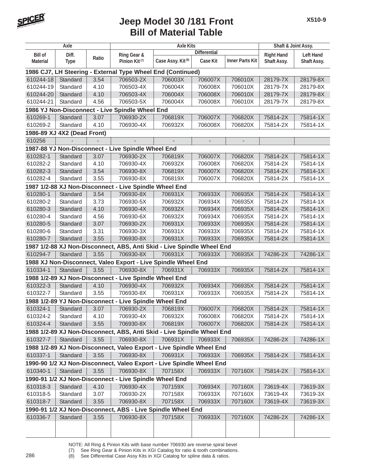

|                 | Axle                        |       | <b>Axle Kits</b>                                                       |                               |                          |                              | Shaft & Joint Assy. |                    |
|-----------------|-----------------------------|-------|------------------------------------------------------------------------|-------------------------------|--------------------------|------------------------------|---------------------|--------------------|
| <b>Bill of</b>  | Diff.                       |       | Ring Gear &                                                            |                               | <b>Differential</b>      |                              | <b>Right Hand</b>   | <b>Left Hand</b>   |
| <b>Material</b> | <b>Type</b>                 | Ratio | Pinion Kit <sup>(7)</sup>                                              | Case Assy. Kit <sup>(8)</sup> | <b>Case Kit</b>          | <b>Inner Parts Kit</b>       | Shaft Assy.         | <b>Shaft Assy.</b> |
|                 |                             |       | 1986 CJ7, LH Steering - External Type Wheel End (Continued)            |                               |                          |                              |                     |                    |
| 610244-18       | Standard                    | 3.54  | 706503-2X                                                              | 706003X                       | 706007X                  | 706010X                      | 28179-7X            | 28179-8X           |
| 610244-19       | Standard                    | 4.10  | 706503-4X                                                              | 706004X                       | 706008X                  | 706010X                      | 28179-7X            | 28179-8X           |
| 610244-20       | Standard                    | 4.10  | 706503-4X                                                              | 706004X                       | 706008X                  | 706010X                      | 28179-7X            | 28179-8X           |
| 610244-21       | Standard                    | 4.56  | 706503-5X                                                              | 706004X                       | 706008X                  | 706010X                      | 28179-7X            | 28179-8X           |
|                 |                             |       | 1986 YJ Non-Disconnect - Live Spindle Wheel End                        |                               |                          |                              |                     |                    |
| 610269-1        | Standard                    | 3.07  | 706930-2X                                                              | 706819X                       | 706007X                  | 706820X                      | 75814-2X            | 75814-1X           |
| 610269-2        | Standard                    | 4.10  | 706930-4X                                                              | 706932X                       | 706008X                  | 706820X                      | 75814-2X            | 75814-1X           |
|                 | 1986-89 XJ 4X2 (Dead Front) |       |                                                                        |                               |                          |                              |                     |                    |
| 610256          |                             |       |                                                                        |                               | $\overline{\phantom{a}}$ | $\qquad \qquad \blacksquare$ |                     |                    |
|                 |                             |       | 1987-88 YJ Non-Disconnect - Live Spindle Wheel End                     |                               |                          |                              |                     |                    |
| 610282-1        | Standard                    | 3.07  | 706930-2X                                                              | 706819X                       | 706007X                  | 706820X                      | 75814-2X            | 75814-1X           |
| 610282-2        | Standard                    | 4.10  | 706930-4X                                                              | 706932X                       | 706008X                  | 706820X                      | 75814-2X            | 75814-1X           |
| 610282-3        | Standard                    | 3.54  | 706930-8X                                                              | 706819X                       | 706007X                  | 706820X                      | 75814-2X            | 75814-1X           |
| 610282-4        | Standard                    | 3.55  | 706930-8X                                                              | 706819X                       | 706007X                  | 706820X                      | 75814-2X            | 75814-1X           |
|                 |                             |       | 1987 1/2-88 XJ Non-Disconnect - Live Spindle Wheel End                 |                               |                          |                              |                     |                    |
| 610280-1        | Standard                    | 3.54  | 706930-8X                                                              | 706931X                       | 706933X                  | 706935X                      | 75814-2X            | 75814-1X           |
| 610280-2        | Standard                    | 3.73  | 706930-5X                                                              | 706932X                       | 706934X                  | 706935X                      | 75814-2X            | 75814-1X           |
| 610280-3        | Standard                    | 4.10  | 706930-4X                                                              | 706932X                       | 706934X                  | 706935X                      | 75814-2X            | 75814-1X           |
| 610280-4        | Standard                    | 4.56  | 706930-6X                                                              | 706932X                       | 706934X                  | 706935X                      | 75814-2X            | 75814-1X           |
| 610280-5        | Standard                    | 3.07  | 706930-2X                                                              | 706931X                       | 706933X                  | 706935X                      | 75814-2X            | 75814-1X           |
| 610280-6        | Standard                    | 3.31  | 706930-3X                                                              | 706931X                       | 706933X                  | 706935X                      | 75814-2X            | 75814-1X           |
| 610280-7        | Standard                    | 3.55  | 706930-8X                                                              | 706931X                       | 706933X                  | 706935X                      | 75814-2X            | 75814-1X           |
|                 |                             |       | 1987 1/2-88 XJ Non-Disconnect, ABS, Anti Skid - Live Spindle Wheel End |                               |                          |                              |                     |                    |
| 610294-7        | Standard                    | 3.55  | 706930-8X                                                              | 706931X                       | 706933X                  | 706935X                      | 74286-2X            | 74286-1X           |
|                 |                             |       | 1988 XJ Non-Disconnect, Valeo Export - Live Spindle Wheel End          |                               |                          |                              |                     |                    |
| 610334-1        | Standard                    | 3.55  | 706930-8X                                                              | 706931X                       | 706933X                  | 706935X                      | 75814-2X            | 75814-1X           |
|                 |                             |       | 1988 1/2-89 XJ Non-Disconnect - Live Spindle Wheel End                 |                               |                          |                              |                     |                    |
| 610322-3        | Standard                    | 4.10  | 706930-4X                                                              | 706932X                       | 706934X                  | 706935X                      | 75814-2X            | 75814-1X           |
| 610322-7        | Standard                    | 3.55  | 706930-8X                                                              | 706931X                       | 706933X                  | 706935X                      | 75814-2X            | 75814-1X           |
|                 |                             |       | 1988 1/2-89 YJ Non-Disconnect - Live Spindle Wheel End                 |                               |                          |                              |                     |                    |
| 610324-1        | Standard                    | 3.07  | 706930-2X                                                              | 706819X                       | 706007X                  | 706820X                      | 75814-2X            | 75814-1X           |
| 610324-2        | Standard                    | 4.10  | 706930-4X                                                              | 706932X                       | 706008X                  | 706820X                      | 75814-2X            | 75814-1X           |
| 610324-4        | Standard                    | 3.55  | 706930-8X                                                              | 706819X                       | 706007X                  | 706820X                      | 75814-2X            | 75814-1X           |
|                 |                             |       | 1988 1/2-89 XJ Non-Disconnect, ABS, Anti Skid - Live Spindle Wheel End |                               |                          |                              |                     |                    |
| 610327-7        | Standard                    | 3.55  | 706930-8X                                                              | 706931X                       | 706933X                  | 706935X                      | 74286-2X            | 74286-1X           |
|                 |                             |       | 1988 1/2-89 XJ Non-Disconnect, Valeo Export - Live Spindle Wheel End   |                               |                          |                              |                     |                    |
| 610337-1        | Standard                    | 3.55  | 706930-8X                                                              | 706931X                       | 706933X                  | 706935X                      | 75814-2X            | 75814-1X           |
|                 |                             |       | 1990-90 1/2 XJ Non-Disconnect, Valeo Export - Live Spindle Wheel End   |                               |                          |                              |                     |                    |
| 610340-1        | Standard                    | 3.55  | 706930-8X                                                              | 707158X                       | 706933X                  | 707160X                      | 75814-2X            | 75814-1X           |
|                 |                             |       | 1990-91 1/2 XJ Non-Disconnect - Live Spindle Wheel End                 |                               |                          |                              |                     |                    |
| 610318-3        | Standard                    | 4.10  | 706930-4X                                                              | 707159X                       | 706934X                  | 707160X                      | 73619-4X            | 73619-3X           |
| 610318-5        | Standard                    | 3.07  | 706930-2X                                                              | 707158X                       | 706933X                  | 707160X                      | 73619-4X            | 73619-3X           |
| 610318-7        | Standard                    | 3.55  | 706930-8X                                                              | 707158X                       | 706933X                  | 707160X                      | 73619-4X            | 73619-3X           |
|                 |                             |       | 1990-91 1/2 XJ Non-Disconnect, ABS - Live Spindle Wheel End            |                               |                          |                              |                     |                    |
| 610336-7        | Standard                    | 3.55  | 706930-8X                                                              | 707158X                       | 706933X                  | 707160X                      | 74286-2X            | 74286-1X           |
|                 |                             |       |                                                                        |                               |                          |                              |                     |                    |
|                 |                             |       |                                                                        |                               |                          |                              |                     |                    |

NOTE: All Ring & Pinion Kits with base number 706930 are reverse spiral bevel (7) See Ring Gear & Pinion Kits in XGI Catalog for ratio & tooth combinations.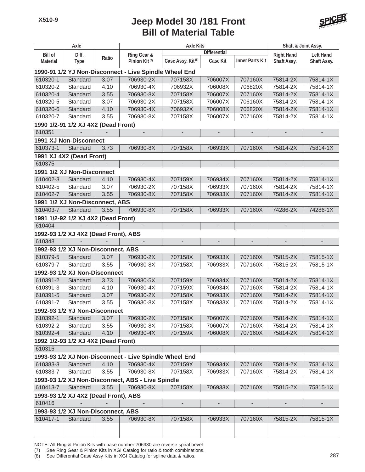

|                 | Axle                                 |       |                                                        | Shaft & Joint Assy.           |                     |                          |                   |                    |
|-----------------|--------------------------------------|-------|--------------------------------------------------------|-------------------------------|---------------------|--------------------------|-------------------|--------------------|
| <b>Bill of</b>  | Diff.                                |       | Ring Gear &                                            |                               | <b>Differential</b> |                          | <b>Right Hand</b> | <b>Left Hand</b>   |
| <b>Material</b> | <b>Type</b>                          | Ratio | Pinion Kit <sup>(7)</sup>                              | Case Assy. Kit <sup>(8)</sup> | <b>Case Kit</b>     | <b>Inner Parts Kit</b>   | Shaft Assy.       | <b>Shaft Assy.</b> |
|                 |                                      |       | 1990-91 1/2 YJ Non-Disconnect - Live Spindle Wheel End |                               |                     |                          |                   |                    |
| 610320-1        | Standard                             | 3.07  | 706930-2X                                              | 707158X                       | 706007X             | 707160X                  | 75814-2X          | 75814-1X           |
| 610320-2        | Standard                             | 4.10  | 706930-4X                                              | 706932X                       | 706008X             | 706820X                  | 75814-2X          | 75814-1X           |
| 610320-4        | Standard                             | 3.55  | 706930-8X                                              | 707158X                       | 706007X             | 707160X                  | 75814-2X          | 75814-1X           |
| 610320-5        | Standard                             | 3.07  | 706930-2X                                              | 707158X                       | 706007X             | 706160X                  | 75814-2X          | 75814-1X           |
| 610320-6        | Standard                             | 4.10  | 706930-4X                                              | 706932X                       | 706008X             | 706820X                  | 75814-2X          | 75814-1X           |
| 610320-7        | Standard                             | 3.55  | 706930-8X                                              | 707158X                       | 706007X             | 707160X                  | 75814-2X          | 75814-1X           |
|                 | 1990 1/2-91 1/2 XJ 4X2 (Dead Front)  |       |                                                        |                               |                     |                          |                   |                    |
| 610351          |                                      |       |                                                        |                               |                     |                          |                   |                    |
|                 | 1991 XJ Non-Disconnect               |       |                                                        |                               |                     |                          |                   |                    |
| 610373-1        | Standard                             | 3.73  | 706930-8X                                              | 707158X                       | 706933X             | 707160X                  | 75814-2X          | 75814-1X           |
|                 | 1991 XJ 4X2 (Dead Front)             |       |                                                        |                               |                     |                          |                   |                    |
| 610375          |                                      |       |                                                        |                               |                     |                          |                   |                    |
|                 | 1991 1/2 XJ Non-Disconnect           |       |                                                        |                               |                     |                          |                   |                    |
| 610402-3        | Standard                             | 4.10  | 706930-4X                                              | 707159X                       | 706934X             | 707160X                  | 75814-2X          | 75814-1X           |
| 610402-5        | Standard                             | 3.07  | 706930-2X                                              | 707158X                       | 706933X             | 707160X                  | 75814-2X          | 75814-1X           |
| 610402-7        | Standard                             | 3.55  | 706930-8X                                              | 707158X                       | 706933X             | 707160X                  | 75814-2X          | 75814-1X           |
|                 | 1991 1/2 XJ Non-Disconnect, ABS      |       |                                                        |                               |                     |                          |                   |                    |
| 610403-7        | Standard                             | 3.55  | 706930-8X                                              | 707158X                       | 706933X             | 707160X                  | 74286-2X          | 74286-1X           |
|                 | 1991 1/2-92 1/2 XJ 4X2 (Dead Front)  |       |                                                        |                               |                     |                          |                   |                    |
| 610404          |                                      |       |                                                        | $\overline{a}$                |                     | $\overline{\phantom{a}}$ |                   |                    |
|                 | 1992-93 1/2 XJ 4X2 (Dead Front), ABS |       |                                                        |                               |                     |                          |                   |                    |
| 610348          |                                      |       |                                                        |                               |                     | $\overline{\phantom{a}}$ |                   |                    |
|                 | 1992-93 1/2 XJ Non-Disconnect, ABS   |       |                                                        |                               |                     |                          |                   |                    |
| 610379-5        | Standard                             | 3.07  | 706930-2X                                              | 707158X                       | 706933X             | 707160X                  | 75815-2X          | 75815-1X           |
| 610379-7        | Standard                             | 3.55  | 706930-8X                                              | 707158X                       | 706933X             | 707160X                  | 75815-2X          | 75815-1X           |
|                 | 1992-93 1/2 XJ Non-Disconnect        |       |                                                        |                               |                     |                          |                   |                    |
| 610391-2        | Standard                             | 3.73  | 706930-5X                                              | 707159X                       | 706934X             | 707160X                  | 75814-2X          | 75814-1X           |
| 610391-3        | Standard                             | 4.10  | 706930-4X                                              | 707159X                       | 706934X             | 707160X                  | 75814-2X          | 75814-1X           |
| 610391-5        | Standard                             | 3.07  | 706930-2X                                              | 707158X                       | 706933X             | 707160X                  | 75814-2X          | 75814-1X           |
| 610391-7        | Standard                             | 3.55  | 706930-8X                                              | 707158X                       | 706933X             | 707160X                  | 75814-2X          | 75814-1X           |
|                 | 1992-93 1/2 YJ Non-Disconnect        |       |                                                        |                               |                     |                          |                   |                    |
| 610392-1        | Standard                             | 3.07  | 706930-2X                                              | 707158X                       | 706007X             | 707160X                  | 75814-2X          | 75814-1X           |
| 610392-2        | Standard                             | 3.55  | 706930-8X                                              | 707158X                       | 706007X             | 707160X                  | 75814-2X          | 75814-1X           |
| 610392-4        | Standard                             | 4.10  | 706930-4X                                              | 707159X                       | 706008X             | 707160X                  | 75814-2X          | 75814-1X           |
|                 | 1992 1/2-93 1/2 XJ 4X2 (Dead Front)  |       |                                                        |                               |                     |                          |                   |                    |
| 610316          |                                      |       |                                                        |                               |                     |                          |                   |                    |
|                 |                                      |       | 1993-93 1/2 XJ Non-Disconnect - Live Spindle Wheel End |                               |                     |                          |                   |                    |
| 610383-3        | Standard                             | 4.10  | 706930-4X                                              | 707159X                       | 706934X             | 707160X                  | 75814-2X          | 75814-1X           |
| 610383-7        | Standard                             | 3.55  | 706930-8X                                              | 707158X                       | 706933X             | 707160X                  | 75814-2X          | 75814-1X           |
|                 |                                      |       | 1993-93 1/2 XJ Non-Disconnect, ABS - Live Spindle      |                               |                     |                          |                   |                    |
| 610413-7        | Standard                             | 3.55  | 706930-8X                                              | 707158X                       | 706933X             | 707160X                  | 75815-2X          | 75815-1X           |
|                 | 1993-93 1/2 XJ 4X2 (Dead Front), ABS |       |                                                        |                               |                     |                          |                   |                    |
| 610416          |                                      |       |                                                        |                               |                     |                          |                   |                    |
|                 | 1993-93 1/2 XJ Non-Disconnect, ABS   |       |                                                        |                               |                     |                          |                   |                    |
| 610417-1        | Standard                             | 3.55  | 706930-8X                                              | 707158X                       | 706933X             | 707160X                  | 75815-2X          | 75815-1X           |
|                 |                                      |       |                                                        |                               |                     |                          |                   |                    |
|                 |                                      |       |                                                        |                               |                     |                          |                   |                    |

NOTE: All Ring & Pinion Kits with base number 706930 are reverse spiral bevel

(7) See Ring Gear & Pinion Kits in XGI Catalog for ratio & tooth combinations.

(8) See Differential Case Assy Kits in XGI Catalog for spline data & ratios. 287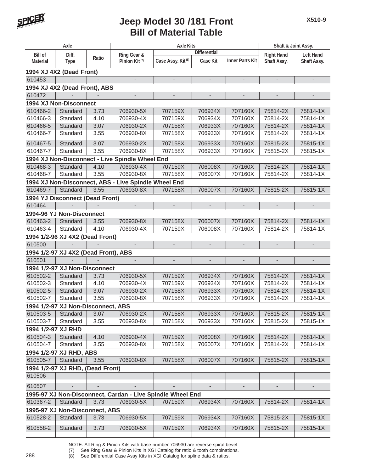

| Axle               |                                      |       | <b>Axle Kits</b>                                           |                               |                          |                              | Shaft & Joint Assy.      |                  |
|--------------------|--------------------------------------|-------|------------------------------------------------------------|-------------------------------|--------------------------|------------------------------|--------------------------|------------------|
| <b>Bill of</b>     | Diff.                                |       | Ring Gear &                                                |                               | <b>Differential</b>      |                              | <b>Right Hand</b>        | <b>Left Hand</b> |
| <b>Material</b>    | <b>Type</b>                          | Ratio | Pinion Kit <sup>(7)</sup>                                  | Case Assy. Kit <sup>(8)</sup> | <b>Case Kit</b>          | <b>Inner Parts Kit</b>       | Shaft Assy.              | Shaft Assy.      |
|                    | 1994 XJ 4X2 (Dead Front)             |       |                                                            |                               |                          |                              |                          |                  |
| 610453             |                                      |       |                                                            |                               |                          |                              | $\overline{a}$           |                  |
|                    | 1994 XJ 4X2 (Dead Front), ABS        |       |                                                            |                               |                          |                              |                          |                  |
| 610472             |                                      |       |                                                            |                               |                          |                              |                          |                  |
|                    | 1994 XJ Non-Disconnect               |       |                                                            |                               |                          |                              |                          |                  |
| 610466-2           | Standard                             | 3.73  | 706930-5X                                                  | 707159X                       | 706934X                  | 707160X                      | 75814-2X                 | 75814-1X         |
| 610466-3           | Standard                             | 4.10  | 706930-4X                                                  | 707159X                       | 706934X                  | 707160X                      | 75814-2X                 | 75814-1X         |
| 610466-5           | Standard                             | 3.07  | 706930-2X                                                  | 707158X                       | 706933X                  | 707160X                      | 75814-2X                 | 75814-1X         |
| 610466-7           | Standard                             | 3.55  | 706930-8X                                                  | 707158X                       | 706933X                  | 707160X                      | 75814-2X                 | 75814-1X         |
| 610467-5           | Standard                             | 3.07  | 706930-2X                                                  | 707158X                       | 706933X                  | 707160X                      | 75815-2X                 | 75815-1X         |
| 610467-7           | Standard                             | 3.55  | 706930-8X                                                  | 707158X                       | 706933X                  | 707160X                      | 75815-2X                 | 75815-1X         |
|                    |                                      |       | 1994 XJ Non-Disconnect - Live Spindle Wheel End            |                               |                          |                              |                          |                  |
| 610468-3           | Standard                             | 4.10  | 706930-4X                                                  | 707159X                       | 706008X                  | 707160X                      | 75814-2X                 | 75814-1X         |
| 610468-7           | Standard                             | 3.55  | 706930-8X                                                  | 707158X                       | 706007X                  | 707160X                      | 75814-2X                 | 75814-1X         |
|                    |                                      |       | 1994 XJ Non-Disconnect, ABS - Live Spindle Wheel End       |                               |                          |                              |                          |                  |
| 610469-7           | Standard                             | 3.55  | 706930-8X                                                  | 707158X                       | 706007X                  | 707160X                      | 75815-2X                 | 75815-1X         |
|                    | 1994 YJ Disconnect (Dead Front)      |       |                                                            |                               |                          |                              |                          |                  |
| 610464             |                                      |       |                                                            |                               |                          |                              |                          |                  |
|                    | 1994-96 YJ Non-Disconnect            |       |                                                            |                               |                          |                              |                          |                  |
| 610463-2           | Standard                             | 3.55  | 706930-8X                                                  | 707158X                       | 706007X                  | 707160X                      | 75814-2X                 | 75814-1X         |
| 610463-4           | Standard                             | 4.10  | 706930-4X                                                  | 707159X                       | 706008X                  | 707160X                      | 75814-2X                 | 75814-1X         |
|                    | 1994 1/2-96 XJ 4X2 (Dead Front)      |       |                                                            |                               |                          |                              |                          |                  |
| 610500             |                                      |       |                                                            |                               |                          |                              |                          |                  |
|                    | 1994 1/2-97 XJ 4X2 (Dead Front), ABS |       |                                                            |                               |                          |                              |                          |                  |
| 610501             |                                      |       |                                                            |                               |                          |                              | $\overline{\phantom{a}}$ |                  |
|                    | 1994 1/2-97 XJ Non-Disconnect        |       |                                                            |                               |                          |                              |                          |                  |
| 610502-2           | Standard                             | 3.73  | 706930-5X                                                  | 707159X                       | 706934X                  | 707160X                      | 75814-2X                 | 75814-1X         |
| 610502-3           | Standard                             | 4.10  | 706930-4X                                                  | 707159X                       | 706934X                  | 707160X                      | 75814-2X                 | 75814-1X         |
| 610502-5           | Standard                             | 3.07  | 706930-2X                                                  | 707158X                       | 706933X                  | 707160X                      | 75814-2X                 | 75814-1X         |
| 610502-7           | Standard                             | 3.55  | 706930-8X                                                  | 707158X                       | 706933X                  | 707160X                      | 75814-2X                 | 75814-1X         |
|                    | 1994 1/2-97 XJ Non-Disconnect, ABS   |       |                                                            |                               |                          |                              |                          |                  |
| 610503-5           | Standard                             | 3.07  | 706930-2X                                                  | 707158X                       | 706933X                  | 707160X                      | 75815-2X                 | 75815-1X         |
| 610503-7           | Standard                             | 3.55  | 706930-8X                                                  | 707158X                       | 706933X                  | 707160X                      | 75815-2X                 | 75815-1X         |
| 1994 1/2-97 XJ RHD |                                      |       |                                                            |                               |                          |                              |                          |                  |
| 610504-3           | Standard                             | 4.10  | 706930-4X                                                  | 707159X                       | 706008X                  | 707160X                      | 75814-2X                 | 75814-1X         |
| 610504-7           | Standard                             | 3.55  | 706930-8X                                                  | 707158X                       | 706007X                  | 707160X                      | 75814-2X                 | 75814-1X         |
|                    | 1994 1/2-97 XJ RHD, ABS              |       |                                                            |                               |                          |                              |                          |                  |
| 610505-7           | Standard                             | 3.55  | 706930-8X                                                  | 707158X                       | 706007X                  | 707160X                      | 75815-2X                 | 75815-1X         |
|                    | 1994 1/2-97 XJ RHD, (Dead Front)     |       |                                                            |                               |                          |                              |                          |                  |
| 610506             |                                      |       | $\overline{\phantom{a}}$                                   | $\overline{\phantom{a}}$      | $\overline{\phantom{a}}$ | $\qquad \qquad \blacksquare$ | $\overline{\phantom{a}}$ |                  |
| 610507             |                                      |       |                                                            |                               | $\overline{\phantom{a}}$ | $\overline{\phantom{a}}$     | $\overline{\phantom{m}}$ |                  |
|                    |                                      |       | 1995-97 XJ Non-Disconnect, Cardan - Live Spindle Wheel End |                               |                          |                              |                          |                  |
| 610367-2           | Standard                             | 3.73  | 706930-5X                                                  | 707159X                       | 706934X                  | 707160X                      | 75814-2X                 | 75814-1X         |
|                    | 1995-97 XJ Non-Disconnect, ABS       |       |                                                            |                               |                          |                              |                          |                  |
| 610528-2           | Standard                             | 3.73  | 706930-5X                                                  | 707159X                       | 706934X                  | 707160X                      | 75815-2X                 | 75815-1X         |
|                    |                                      |       |                                                            |                               |                          |                              |                          |                  |
| 610558-2           | Standard                             | 3.73  | 706930-5X                                                  | 707159X                       | 706934X                  | 707160X                      | 75815-2X                 | 75815-1X         |
|                    |                                      |       |                                                            |                               |                          |                              |                          |                  |

NOTE: All Ring & Pinion Kits with base number 706930 are reverse spiral bevel

(7) See Ring Gear & Pinion Kits in XGI Catalog for ratio & tooth combinations. 288 (8) See Differential Case Assy Kits in XGI Catalog for spline data & ratios.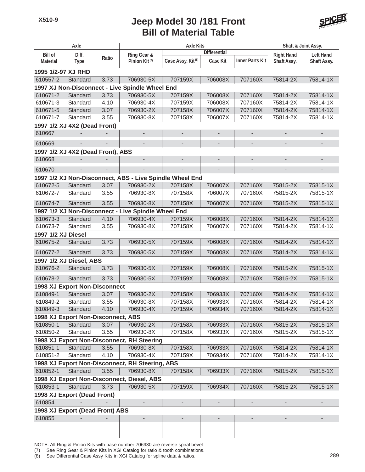

|                    | Axle                                 |                          |                                                          | Shaft & Joint Assy.           |                          |                              |                          |                          |
|--------------------|--------------------------------------|--------------------------|----------------------------------------------------------|-------------------------------|--------------------------|------------------------------|--------------------------|--------------------------|
| <b>Bill of</b>     | Diff.                                |                          | Ring Gear &                                              |                               | <b>Differential</b>      |                              | <b>Right Hand</b>        | <b>Left Hand</b>         |
| <b>Material</b>    | <b>Type</b>                          | Ratio                    | Pinion Kit <sup>(7)</sup>                                | Case Assy. Kit <sup>(8)</sup> | <b>Case Kit</b>          | <b>Inner Parts Kit</b>       | Shaft Assy.              | Shaft Assy.              |
| 1995 1/2-97 XJ RHD |                                      |                          |                                                          |                               |                          |                              |                          |                          |
| 610557-2           | Standard                             | 3.73                     | 706930-5X                                                | 707159X                       | 706008X                  | 707160X                      | 75814-2X                 | 75814-1X                 |
|                    |                                      |                          | 1997 XJ Non-Disconnect - Live Spindle Wheel End          |                               |                          |                              |                          |                          |
| 610671-2           | Standard                             | 3.73                     | 706930-5X                                                | 707159X                       | 706008X                  | 707160X                      | 75814-2X                 | 75814-1X                 |
| 610671-3           | Standard                             | 4.10                     | 706930-4X                                                | 707159X                       | 706008X                  | 707160X                      | 75814-2X                 | 75814-1X                 |
| 610671-5           | Standard                             | 3.07                     | 706930-2X                                                | 707158X                       | 706007X                  | 707160X                      | 75814-2X                 | 75814-1X                 |
| 610671-7           | Standard                             | 3.55                     | 706930-8X                                                | 707158X                       | 706007X                  | 707160X                      | 75814-2X                 | 75814-1X                 |
|                    | 1997 1/2 XJ 4X2 (Dead Front)         |                          |                                                          |                               |                          |                              |                          |                          |
| 610667             |                                      |                          | $\overline{\phantom{a}}$                                 | $\qquad \qquad \blacksquare$  | $\overline{\phantom{a}}$ | $\overline{\phantom{a}}$     | $\overline{\phantom{a}}$ |                          |
| 610669             |                                      |                          |                                                          | $\overline{\phantom{a}}$      | $\overline{\phantom{a}}$ | $\qquad \qquad \blacksquare$ | -                        |                          |
|                    | 1997 1/2 XJ 4X2 (Dead Front), ABS    |                          |                                                          |                               |                          |                              |                          |                          |
| 610668             |                                      |                          |                                                          | $\overline{\phantom{0}}$      | $\overline{\phantom{a}}$ | $\overline{\phantom{0}}$     | $\overline{a}$           | $\overline{\phantom{0}}$ |
| 610670             | $\overline{\phantom{a}}$             | $\overline{\phantom{a}}$ |                                                          | $\overline{a}$                | $\overline{\phantom{a}}$ | $\overline{a}$               | $\overline{\phantom{0}}$ |                          |
|                    |                                      |                          | 1997 1/2 XJ Non-Disconnect, ABS - Live Spindle Wheel End |                               |                          |                              |                          |                          |
| 610672-5           | Standard                             | 3.07                     | 706930-2X                                                | 707158X                       | 706007X                  | 707160X                      | 75815-2X                 | 75815-1X                 |
| 610672-7           | Standard                             | 3.55                     | 706930-8X                                                | 707158X                       | 706007X                  | 707160X                      | 75815-2X                 | 75815-1X                 |
| 610674-7           | Standard                             | 3.55                     | 706930-8X                                                | 707158X                       | 706007X                  | 707160X                      | 75815-2X                 | 75815-1X                 |
|                    |                                      |                          | 1997 1/2 XJ Non-Disconnect - Live Spindle Wheel End      |                               |                          |                              |                          |                          |
| 610673-3           | Standard                             | 4.10                     | 706930-4X                                                | 707159X                       | 706008X                  | 707160X                      | 75814-2X                 | 75814-1X                 |
| 610673-7           | Standard                             | 3.55                     | 706930-8X                                                | 707158X                       | 706007X                  | 707160X                      | 75814-2X                 | 75814-1X                 |
| 1997 1/2 XJ Diesel |                                      |                          |                                                          |                               |                          |                              |                          |                          |
| 610675-2           | Standard                             | 3.73                     | 706930-5X                                                | 707159X                       | 706008X                  | 707160X                      | 75814-2X                 | 75814-1X                 |
| 610677-2           | Standard                             | 3.73                     | 706930-5X                                                | 707159X                       | 706008X                  | 707160X                      | 75814-2X                 | 75814-1X                 |
|                    | 1997 1/2 XJ Diesel, ABS              |                          |                                                          |                               |                          |                              |                          |                          |
| 610676-2           | Standard                             | 3.73                     | 706930-5X                                                | 707159X                       | 706008X                  | 707160X                      | 75815-2X                 | 75815-1X                 |
| 610678-2           | Standard                             | 3.73                     | 706930-5X                                                | 707159X                       | 706008X                  | 707160X                      | 75815-2X                 | 75815-1X                 |
|                    | <b>1998 XJ Export Non-Disconnect</b> |                          |                                                          |                               |                          |                              |                          |                          |
| 610849-1           | Standard                             | 3.07                     | 706930-2X                                                | 707158X                       | 706933X                  | 707160X                      | 75814-2X                 | 75814-1X                 |
| 610849-2           | Standard                             | 3.55                     | 706930-8X                                                | 707158X                       | 706933X                  | 707160X                      | 75814-2X                 | 75814-1X                 |
| 610849-3           | Standard                             | 4.10                     | 706930-4X                                                | 707159X                       | 706934X                  | 707160X                      | 75814-2X                 | 75814-1X                 |
|                    | 1998 XJ Export Non-Disconnect, ABS   |                          |                                                          |                               |                          |                              |                          |                          |
| 610850-1           | Standard                             | 3.07                     | 706930-2X                                                | 707158X                       | 706933X                  | 707160X                      | 75815-2X                 | 75815-1X                 |
| 610850-2           | Standard                             | 3.55                     | 706930-8X                                                | 707158X                       | 706933X                  | 707160X                      | 75815-2X                 | 75815-1X                 |
|                    |                                      |                          | 1998 XJ Export Non-Disconnect, RH Steering               |                               |                          |                              |                          |                          |
| 610851-1           | Standard                             | 3.55                     | 706930-8X                                                | 707158X                       | 706933X                  | 707160X                      | 75814-2X                 | 75814-1X                 |
| 610851-2           | Standard                             | 4.10                     | 706930-4X                                                | 707159X                       | 706934X                  | 707160X                      | 75814-2X                 | 75814-1X                 |
|                    |                                      |                          | 1998 XJ Export Non-Disconnect, RH Steering, ABS          |                               |                          |                              |                          |                          |
| 610852-1           | Standard                             | 3.55                     | 706930-8X                                                | 707158X                       | 706933X                  | 707160X                      | 75815-2X                 | 75815-1X                 |
|                    | Standard                             |                          | 1998 XJ Export Non-Disconnect, Diesel, ABS               |                               |                          |                              |                          |                          |
| 610853-1           |                                      | 3.73                     | 706930-5X                                                | 707159X                       | 706934X                  | 707160X                      | 75815-2X                 | 75815-1X                 |
|                    | 1998 XJ Export (Dead Front)          |                          |                                                          |                               |                          |                              |                          |                          |
| 610854             |                                      |                          |                                                          | $\overline{a}$                | $\overline{\phantom{0}}$ |                              | $\overline{a}$           |                          |
|                    | 1998 XJ Export (Dead Front) ABS      |                          |                                                          |                               |                          |                              |                          |                          |
| 610855             |                                      |                          |                                                          |                               |                          |                              |                          |                          |
|                    |                                      |                          |                                                          |                               |                          |                              |                          |                          |

NOTE: All Ring & Pinion Kits with base number 706930 are reverse spiral bevel

(7) See Ring Gear & Pinion Kits in XGI Catalog for ratio & tooth combinations.

(8) See Differential Case Assy Kits in XGI Catalog for spline data & ratios. 289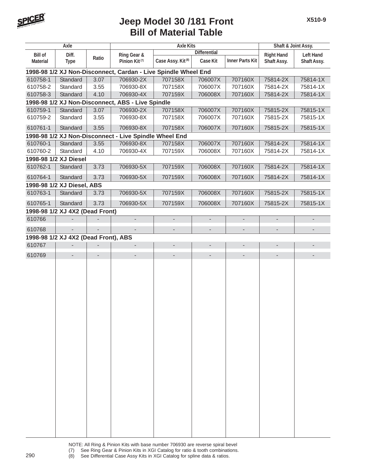

| Axle            |                                      |       | <b>Axle Kits</b>                                               |                               |                          |                          | Shaft & Joint Assy.      |                              |
|-----------------|--------------------------------------|-------|----------------------------------------------------------------|-------------------------------|--------------------------|--------------------------|--------------------------|------------------------------|
| <b>Bill of</b>  | Diff.                                | Ratio | Ring Gear &                                                    |                               | <b>Differential</b>      |                          | <b>Right Hand</b>        | <b>Left Hand</b>             |
| <b>Material</b> | <b>Type</b>                          |       | Pinion Kit <sup>(7)</sup>                                      | Case Assy. Kit <sup>(8)</sup> | <b>Case Kit</b>          | <b>Inner Parts Kit</b>   | Shaft Assy.              | Shaft Assy.                  |
|                 |                                      |       | 1998-98 1/2 XJ Non-Disconnect, Cardan - Live Spindle Wheel End |                               |                          |                          |                          |                              |
| 610758-1        | Standard                             | 3.07  | 706930-2X                                                      | 707158X                       | 706007X                  | 707160X                  | 75814-2X                 | 75814-1X                     |
| 610758-2        | Standard                             | 3.55  | 706930-8X                                                      | 707158X                       | 706007X                  | 707160X                  | 75814-2X                 | 75814-1X                     |
| 610758-3        | Standard                             | 4.10  | 706930-4X                                                      | 707159X                       | 706008X                  | 707160X                  | 75814-2X                 | 75814-1X                     |
|                 |                                      |       | 1998-98 1/2 XJ Non-Disconnect, ABS - Live Spindle              |                               |                          |                          |                          |                              |
| 610759-1        | Standard                             | 3.07  | 706930-2X                                                      | 707158X                       | 706007X                  | 707160X                  | 75815-2X                 | 75815-1X                     |
| 610759-2        | Standard                             | 3.55  | 706930-8X                                                      | 707158X                       | 706007X                  | 707160X                  | 75815-2X                 | 75815-1X                     |
| 610761-1        | Standard                             | 3.55  | 706930-8X                                                      | 707158X                       | 706007X                  | 707160X                  | 75815-2X                 | 75815-1X                     |
|                 |                                      |       | 1998-98 1/2 XJ Non-Disconnect - Live Spindle Wheel End         |                               |                          |                          |                          |                              |
| 610760-1        | Standard                             | 3.55  | 706930-8X                                                      | 707158X                       | 706007X                  | 707160X                  | 75814-2X                 | 75814-1X                     |
| 610760-2        | Standard                             | 4.10  | 706930-4X                                                      | 707159X                       | 706008X                  | 707160X                  | 75814-2X                 | 75814-1X                     |
|                 | 1998-98 1/2 XJ Diesel                |       |                                                                |                               |                          |                          |                          |                              |
| 610762-1        | Standard                             | 3.73  | 706930-5X                                                      | 707159X                       | 706008X                  | 707160X                  | 75814-2X                 | 75814-1X                     |
| 610764-1        | Standard                             | 3.73  | 706930-5X                                                      | 707159X                       | 706008X                  | 707160X                  | 75814-2X                 | 75814-1X                     |
|                 | 1998-98 1/2 XJ Diesel, ABS           |       |                                                                |                               |                          |                          |                          |                              |
| 610763-1        | Standard                             | 3.73  | 706930-5X                                                      | 707159X                       | 706008X                  | 707160X                  | 75815-2X                 | 75815-1X                     |
| 610765-1        | Standard                             | 3.73  | 706930-5X                                                      | 707159X                       | 706008X                  | 707160X                  | 75815-2X                 | 75815-1X                     |
|                 | 1998-98 1/2 XJ 4X2 (Dead Front)      |       |                                                                |                               |                          |                          |                          |                              |
| 610766          |                                      |       |                                                                |                               | $\overline{\phantom{a}}$ |                          |                          |                              |
| 610768          | $\frac{1}{2}$                        |       |                                                                | $\overline{\phantom{a}}$      | $\overline{\phantom{0}}$ | $\overline{\phantom{a}}$ | $\overline{\phantom{a}}$ | $\qquad \qquad \blacksquare$ |
|                 | 1998-98 1/2 XJ 4X2 (Dead Front), ABS |       |                                                                |                               |                          |                          |                          |                              |
| 610767          |                                      |       |                                                                | $\qquad \qquad \blacksquare$  | $\overline{\phantom{0}}$ | $\overline{\phantom{0}}$ | $\overline{\phantom{a}}$ |                              |
| 610769          | $\overline{\phantom{a}}$             |       | $\overline{\phantom{a}}$                                       | $\overline{\phantom{a}}$      | $\overline{\phantom{0}}$ | $\overline{\phantom{a}}$ | $\overline{\phantom{a}}$ |                              |
|                 |                                      |       |                                                                |                               |                          |                          |                          |                              |
|                 |                                      |       |                                                                |                               |                          |                          |                          |                              |
|                 |                                      |       |                                                                |                               |                          |                          |                          |                              |
|                 |                                      |       |                                                                |                               |                          |                          |                          |                              |
|                 |                                      |       |                                                                |                               |                          |                          |                          |                              |
|                 |                                      |       |                                                                |                               |                          |                          |                          |                              |
|                 |                                      |       |                                                                |                               |                          |                          |                          |                              |
|                 |                                      |       |                                                                |                               |                          |                          |                          |                              |
|                 |                                      |       |                                                                |                               |                          |                          |                          |                              |
|                 |                                      |       |                                                                |                               |                          |                          |                          |                              |
|                 |                                      |       |                                                                |                               |                          |                          |                          |                              |
|                 |                                      |       |                                                                |                               |                          |                          |                          |                              |
|                 |                                      |       |                                                                |                               |                          |                          |                          |                              |
|                 |                                      |       |                                                                |                               |                          |                          |                          |                              |
|                 |                                      |       |                                                                |                               |                          |                          |                          |                              |
|                 |                                      |       |                                                                |                               |                          |                          |                          |                              |
|                 |                                      |       |                                                                |                               |                          |                          |                          |                              |
|                 |                                      |       |                                                                |                               |                          |                          |                          |                              |
|                 |                                      |       |                                                                |                               |                          |                          |                          |                              |
|                 |                                      |       |                                                                |                               |                          |                          |                          |                              |
|                 |                                      |       |                                                                |                               |                          |                          |                          |                              |
|                 |                                      |       |                                                                |                               |                          |                          |                          |                              |

NOTE: All Ring & Pinion Kits with base number 706930 are reverse spiral bevel (7) See Ring Gear & Pinion Kits in XGI Catalog for ratio & tooth combinations. (7) See Ring Gear & Pinion Kits in XGI Catalog for ratio & tooth combinations.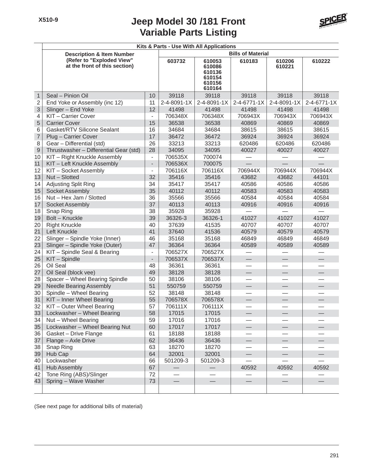

**Kits & Parts - Use With All Applications Bills of Material Description & Item Number (Refer to "Exploded View" at the front of this section) 603732 610053 610183 610206 610222 610086 610221 610136 610154 610156 610164** 1 Seal – Pinion Oil 10 39118 39118 39118 39118 39118 2 End Yoke or Assembly (inc 12) 11 2-4-8091-1X 2-4-8091-1X 2-4-6771-1X 2-4-8091-1X 2-4-6771-1X 3 Slinger – End Yoke 12 41498 41498 41498 41498 41498 41498 4 KIT – Carrier Cover - 706348X 706348X 706943X 706943X 706943X 5 Carrier Cover 15 36538 36538 40869 40869 40869 6 Gasket/RTV Silicone Sealant 16 34684 34684 38615 38615 38615 7 Plug – Carrier Cover 17 | 36472 | 36472 | 36924 | 36924 | 36924 8 Gear – Differential (std) 26 33213 33213 620486 620486 620486 9 Thrustwasher – Differential Gear (std) 28 34095 34095 40027 40027 40027 10 KIT – Right Knuckle Assembly | - | 706535X | 700074 11 | KIT – Left Knuckle Assembly | - | 706536X | 700075 12 KIT – Socket Assembly  $\vert$  - 706116X 706116X 706944X 706944X 706944X 13 Nut – Slotted 32 35416 35416 43682 43682 44101 14 Adjusting Split Ring 19 | 34 | 35417 | 35417 | 40586 | 40586 | 40586 15 Socket Assembly 135 40112 40112 40583 40583 40583 16 Nut – Hex Jam / Slotted 36 35566 35566 40584 40584 40584 17 Socket Assembly 10 | 37 | 40113 | 40113 | 40916 | 40916 | 40916 18 Snap Ring | 38 | 35928 | 35928 | — | — | — | — 19 Bolt – Knuckle 20 39 36326-3 36326-1 41027 41027 41027 41027 20 Right Knuckle 1 40 40 40 406 407639 41535 40707 40707 40707 40707 21 Left Knuckle | 41 | 37640 | 41536 | 40579 | 40579 | 40579 22 Slinger – Spindle Yoke (Inner) 46 35168 35168 46849 46849 46849 23 Slinger – Spindle Yoke (Outer) 47 36364 36364 40589 40589 40589 24 KIT – Spindle Seal & Bearing - 706527X 706527X 25 KIT – Spindle **25 KIT – Spindle** 25 KIT – Spindle 26 | Oil Seal | 48 | 36361 | 36361 | — | — | — 27 Oil Seal (block vee) 49 38128 38128 28 Spacer – Wheel Bearing Spindle  $\begin{array}{|c|c|c|c|c|c|c|c|} \hline 28 & 38106 & 38106 \ \hline \end{array}$ 29 Needle Bearing Assembly 151 550759 550759 30 Spindle – Wheel Bearing 1982 52 38148 38148 31 KIT – Inner Wheel Bearing 55 706578X 706578X — — — 32 KIT – Outer Wheel Bearing 57 706111X 706111X — — —  $33$  Lockwasher – Wheel Bearing  $\overline{58}$  17015  $\overline{17015}$  17015 34 Nut – Wheel Bearing 59 17016 17016 — — — 35 Lockwasher – Wheel Bearing Nut 60 17017 17017 — — — 36 Gasket – Drive Flange 181 61 18188 18188 37 Flange – Axle Drive (1988) 62 36436 18270 36436<br>38 Snap Ring (1988) 63 18270 18270 38 Snap Ring 63 18270 18270 — — — 39 Hub Cap 64 32001 32001 — — — 40 Lockwasher | 66 | 501209-3 | 501209-3 | — | — | — 41 Hub Assembly | 67 | — | — | 40592 | 40592 | 40592 42 Tone Ring (ABS)/Slinger 72  $|43|$  Spring – Wave Washer  $|73|$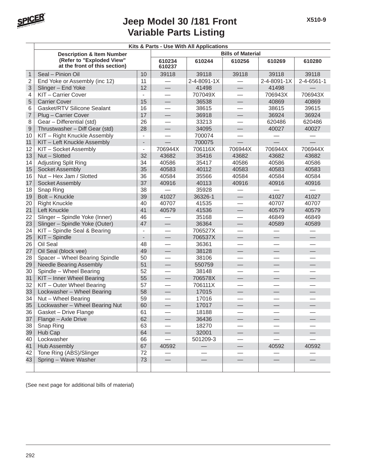

| (Refer to "Exploded View"<br>at the front of this section) |                                                                                                                                                                                                                                                                                                                                                                                                                                                                                                                                                                | 610234<br>610237                                                                             | 610244                                                         | 610256                                                                                                 | 610269                                                               | 610280                                                                    |
|------------------------------------------------------------|----------------------------------------------------------------------------------------------------------------------------------------------------------------------------------------------------------------------------------------------------------------------------------------------------------------------------------------------------------------------------------------------------------------------------------------------------------------------------------------------------------------------------------------------------------------|----------------------------------------------------------------------------------------------|----------------------------------------------------------------|--------------------------------------------------------------------------------------------------------|----------------------------------------------------------------------|---------------------------------------------------------------------------|
| Seal - Pinion Oil                                          | 10                                                                                                                                                                                                                                                                                                                                                                                                                                                                                                                                                             | 39118                                                                                        | 39118                                                          | 39118                                                                                                  | 39118                                                                | 39118                                                                     |
|                                                            | 11                                                                                                                                                                                                                                                                                                                                                                                                                                                                                                                                                             |                                                                                              | 2-4-8091-1X                                                    |                                                                                                        | 2-4-8091-1X                                                          | 2-4-6561-1                                                                |
|                                                            | 12                                                                                                                                                                                                                                                                                                                                                                                                                                                                                                                                                             | $\overline{\phantom{0}}$                                                                     | 41498                                                          |                                                                                                        | 41498                                                                |                                                                           |
| KIT-Carrier Cover                                          | $\overline{\phantom{0}}$                                                                                                                                                                                                                                                                                                                                                                                                                                                                                                                                       |                                                                                              | 707049X                                                        |                                                                                                        | 706943X                                                              | 706943X                                                                   |
| <b>Carrier Cover</b>                                       | 15                                                                                                                                                                                                                                                                                                                                                                                                                                                                                                                                                             | $\qquad \qquad$                                                                              | 36538                                                          |                                                                                                        | 40869                                                                | 40869                                                                     |
| <b>Gasket/RTV Silicone Sealant</b>                         | 16                                                                                                                                                                                                                                                                                                                                                                                                                                                                                                                                                             |                                                                                              | 38615                                                          |                                                                                                        | 38615                                                                | 39615                                                                     |
| Plug - Carrier Cover                                       | 17                                                                                                                                                                                                                                                                                                                                                                                                                                                                                                                                                             | $\overline{\phantom{0}}$                                                                     | 36918                                                          | $\overline{\phantom{0}}$                                                                               | 36924                                                                | 36924                                                                     |
| Gear - Differential (std)                                  | 26                                                                                                                                                                                                                                                                                                                                                                                                                                                                                                                                                             |                                                                                              | 33213                                                          |                                                                                                        | 620486                                                               | 620486                                                                    |
| Thrustwasher - Diff Gear (std)                             | 28                                                                                                                                                                                                                                                                                                                                                                                                                                                                                                                                                             | $\overline{\phantom{0}}$                                                                     | 34095                                                          | $\overline{\phantom{0}}$                                                                               | 40027                                                                | 40027                                                                     |
| KIT - Right Knuckle Assembly                               | $\overline{\phantom{a}}$                                                                                                                                                                                                                                                                                                                                                                                                                                                                                                                                       |                                                                                              | 700074                                                         |                                                                                                        |                                                                      |                                                                           |
| KIT - Left Knuckle Assembly                                | $\overline{\phantom{a}}$                                                                                                                                                                                                                                                                                                                                                                                                                                                                                                                                       |                                                                                              | 700075                                                         |                                                                                                        |                                                                      |                                                                           |
| KIT - Socket Assembly                                      | $\blacksquare$                                                                                                                                                                                                                                                                                                                                                                                                                                                                                                                                                 | 706944X                                                                                      | 706116X                                                        | 706944X                                                                                                | 706944X                                                              | 706944X                                                                   |
| Nut - Slotted                                              | 32                                                                                                                                                                                                                                                                                                                                                                                                                                                                                                                                                             | 43682                                                                                        | 35416                                                          | 43682                                                                                                  | 43682                                                                | 43682                                                                     |
| <b>Adjusting Split Ring</b>                                | 34                                                                                                                                                                                                                                                                                                                                                                                                                                                                                                                                                             | 40586                                                                                        | 35417                                                          | 40586                                                                                                  | 40586                                                                | 40586                                                                     |
| Socket Assembly                                            | 35                                                                                                                                                                                                                                                                                                                                                                                                                                                                                                                                                             | 40583                                                                                        | 40112                                                          | 40583                                                                                                  | 40583                                                                | 40583                                                                     |
| Nut - Hex Jam / Slotted                                    | 36                                                                                                                                                                                                                                                                                                                                                                                                                                                                                                                                                             | 40584                                                                                        | 35566                                                          | 40584                                                                                                  | 40584                                                                | 40584                                                                     |
| Socket Assembly                                            | 37                                                                                                                                                                                                                                                                                                                                                                                                                                                                                                                                                             | 40916                                                                                        | 40113                                                          | 40916                                                                                                  | 40916                                                                | 40916                                                                     |
| Snap Ring                                                  | 38                                                                                                                                                                                                                                                                                                                                                                                                                                                                                                                                                             |                                                                                              | 35928                                                          |                                                                                                        |                                                                      |                                                                           |
| Bolt - Knuckle                                             | 39                                                                                                                                                                                                                                                                                                                                                                                                                                                                                                                                                             | 41027                                                                                        | 36326-1                                                        | —                                                                                                      | 41027                                                                | 41027                                                                     |
| <b>Right Knuckle</b>                                       | 40                                                                                                                                                                                                                                                                                                                                                                                                                                                                                                                                                             | 40707                                                                                        | 41535                                                          |                                                                                                        | 40707                                                                | 40707                                                                     |
| Left Knuckle                                               | 41                                                                                                                                                                                                                                                                                                                                                                                                                                                                                                                                                             | 40579                                                                                        | 41536                                                          |                                                                                                        | 40579                                                                | 40579                                                                     |
| Slinger - Spindle Yoke (Inner)                             | 46                                                                                                                                                                                                                                                                                                                                                                                                                                                                                                                                                             |                                                                                              | 35168                                                          |                                                                                                        | 46849                                                                | 46849                                                                     |
|                                                            | 47                                                                                                                                                                                                                                                                                                                                                                                                                                                                                                                                                             | $\overline{\phantom{0}}$                                                                     | 36364                                                          |                                                                                                        | 40589                                                                | 40589                                                                     |
| KIT - Spindle Seal & Bearing                               | $\blacksquare$                                                                                                                                                                                                                                                                                                                                                                                                                                                                                                                                                 | $\equiv$                                                                                     | 706527X                                                        | $\overline{\phantom{0}}$                                                                               |                                                                      |                                                                           |
| KIT - Spindle                                              | $\qquad \qquad \blacksquare$                                                                                                                                                                                                                                                                                                                                                                                                                                                                                                                                   | $\qquad \qquad \qquad$                                                                       | 706537X                                                        |                                                                                                        |                                                                      |                                                                           |
| Oil Seal                                                   | 48                                                                                                                                                                                                                                                                                                                                                                                                                                                                                                                                                             |                                                                                              | 36361                                                          |                                                                                                        |                                                                      |                                                                           |
|                                                            |                                                                                                                                                                                                                                                                                                                                                                                                                                                                                                                                                                | $\qquad \qquad$                                                                              |                                                                |                                                                                                        |                                                                      | $\overline{\phantom{0}}$                                                  |
|                                                            | 50                                                                                                                                                                                                                                                                                                                                                                                                                                                                                                                                                             |                                                                                              |                                                                |                                                                                                        |                                                                      |                                                                           |
|                                                            |                                                                                                                                                                                                                                                                                                                                                                                                                                                                                                                                                                | $\overline{\phantom{0}}$                                                                     | 550759                                                         | —<br>—                                                                                                 |                                                                      |                                                                           |
|                                                            |                                                                                                                                                                                                                                                                                                                                                                                                                                                                                                                                                                |                                                                                              | 38148                                                          |                                                                                                        |                                                                      |                                                                           |
|                                                            |                                                                                                                                                                                                                                                                                                                                                                                                                                                                                                                                                                |                                                                                              |                                                                |                                                                                                        |                                                                      |                                                                           |
|                                                            |                                                                                                                                                                                                                                                                                                                                                                                                                                                                                                                                                                |                                                                                              |                                                                |                                                                                                        |                                                                      |                                                                           |
|                                                            |                                                                                                                                                                                                                                                                                                                                                                                                                                                                                                                                                                |                                                                                              |                                                                |                                                                                                        |                                                                      |                                                                           |
|                                                            |                                                                                                                                                                                                                                                                                                                                                                                                                                                                                                                                                                | $\overline{\phantom{0}}$                                                                     | 17016                                                          |                                                                                                        |                                                                      |                                                                           |
|                                                            |                                                                                                                                                                                                                                                                                                                                                                                                                                                                                                                                                                |                                                                                              |                                                                |                                                                                                        |                                                                      |                                                                           |
|                                                            |                                                                                                                                                                                                                                                                                                                                                                                                                                                                                                                                                                |                                                                                              |                                                                |                                                                                                        |                                                                      |                                                                           |
|                                                            |                                                                                                                                                                                                                                                                                                                                                                                                                                                                                                                                                                | $\overline{\phantom{0}}$                                                                     |                                                                |                                                                                                        |                                                                      |                                                                           |
|                                                            |                                                                                                                                                                                                                                                                                                                                                                                                                                                                                                                                                                |                                                                                              |                                                                |                                                                                                        |                                                                      |                                                                           |
|                                                            |                                                                                                                                                                                                                                                                                                                                                                                                                                                                                                                                                                | $\overline{\phantom{0}}$                                                                     |                                                                |                                                                                                        |                                                                      |                                                                           |
|                                                            |                                                                                                                                                                                                                                                                                                                                                                                                                                                                                                                                                                |                                                                                              |                                                                |                                                                                                        |                                                                      |                                                                           |
|                                                            |                                                                                                                                                                                                                                                                                                                                                                                                                                                                                                                                                                |                                                                                              |                                                                |                                                                                                        |                                                                      | 40592                                                                     |
|                                                            |                                                                                                                                                                                                                                                                                                                                                                                                                                                                                                                                                                |                                                                                              |                                                                |                                                                                                        |                                                                      |                                                                           |
|                                                            |                                                                                                                                                                                                                                                                                                                                                                                                                                                                                                                                                                |                                                                                              |                                                                | $\overline{\phantom{0}}$                                                                               | $\overline{\phantom{0}}$                                             |                                                                           |
|                                                            |                                                                                                                                                                                                                                                                                                                                                                                                                                                                                                                                                                |                                                                                              |                                                                |                                                                                                        |                                                                      |                                                                           |
|                                                            | <b>Description &amp; Item Number</b><br>End Yoke or Assembly (inc 12)<br>Slinger - End Yoke<br>Slinger - Spindle Yoke (Outer)<br>Oil Seal (block vee)<br>Spacer - Wheel Bearing Spindle<br><b>Needle Bearing Assembly</b><br>Spindle - Wheel Bearing<br>KIT - Inner Wheel Bearing<br>KIT - Outer Wheel Bearing<br>Lockwasher - Wheel Bearing<br>Nut - Wheel Bearing<br>Lockwasher - Wheel Bearing Nut<br>Gasket - Drive Flange<br>Flange - Axle Drive<br>Snap Ring<br>Hub Cap<br>Lockwasher<br>Hub Assembly<br>Tone Ring (ABS)/Slinger<br>Spring - Wave Washer | 49<br>51<br>52<br>55<br>57<br>58<br>59<br>60<br>61<br>62<br>63<br>64<br>66<br>67<br>72<br>73 | $\equiv$<br>$\qquad \qquad -$<br>$\equiv$<br>40592<br>$\equiv$ | 38128<br>38106<br>706578X<br>706111X<br>17015<br>17017<br>18188<br>36436<br>18270<br>32001<br>501209-3 | Kits & Parts - Use With All Applications<br>$\overline{\phantom{0}}$ | <b>Bills of Material</b><br>$\overline{\phantom{0}}$<br>$\equiv$<br>40592 |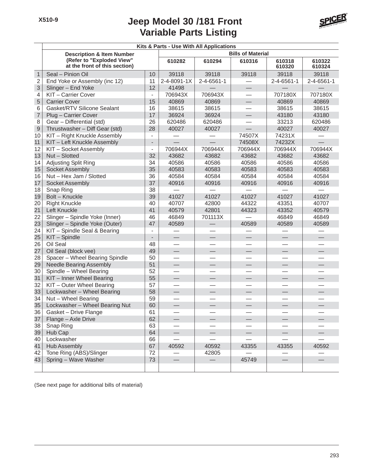

|                | Kits & Parts - Use With All Applications                   |                          |                          |                          |                          |                          |                  |  |  |  |
|----------------|------------------------------------------------------------|--------------------------|--------------------------|--------------------------|--------------------------|--------------------------|------------------|--|--|--|
|                | <b>Description &amp; Item Number</b>                       |                          |                          |                          | <b>Bills of Material</b> |                          |                  |  |  |  |
|                | (Refer to "Exploded View"<br>at the front of this section) |                          | 610282                   | 610294                   | 610316                   | 610318<br>610320         | 610322<br>610324 |  |  |  |
| $\mathbf{1}$   | Seal - Pinion Oil                                          | 10                       | 39118                    | 39118                    | 39118                    | 39118                    | 39118            |  |  |  |
| $\overline{2}$ | End Yoke or Assembly (inc 12)                              | 11                       | 2-4-8091-1X              | 2-4-6561-1               |                          | 2-4-6561-1               | 2-4-6561-1       |  |  |  |
| 3              | Slinger - End Yoke                                         | 12                       | 41498                    |                          |                          |                          |                  |  |  |  |
| 4              | KIT - Carrier Cover                                        | $\overline{\phantom{a}}$ | 706943X                  | 706943X                  |                          | 707180X                  | 707180X          |  |  |  |
| 5              | <b>Carrier Cover</b>                                       | 15                       | 40869                    | 40869                    |                          | 40869                    | 40869            |  |  |  |
| 6              | Gasket/RTV Silicone Sealant                                | 16                       | 38615                    | 38615                    |                          | 38615                    | 38615            |  |  |  |
| $\overline{7}$ | Plug - Carrier Cover                                       | 17                       | 36924                    | 36924                    |                          | 43180                    | 43180            |  |  |  |
| 8              | Gear - Differential (std)                                  | 26                       | 620486                   | 620486                   |                          | 33213                    | 620486           |  |  |  |
| $\overline{9}$ | Thrustwasher - Diff Gear (std)                             | 28                       | 40027                    | 40027                    |                          | 40027                    | 40027            |  |  |  |
| 10             | KIT - Right Knuckle Assembly                               |                          |                          |                          | 74507X                   | 74231X                   |                  |  |  |  |
| 11             | KIT - Left Knuckle Assembly                                | $\overline{\phantom{a}}$ |                          |                          | 74508X                   | 74232X                   |                  |  |  |  |
| 12             | KIT - Socket Assembly                                      | $\overline{\phantom{a}}$ | 706944X                  | 706944X                  | 706944X                  | 706944X                  | 706944X          |  |  |  |
| 13             | Nut - Slotted                                              | 32                       | 43682                    | 43682                    | 43682                    | 43682                    | 43682            |  |  |  |
| 14             | Adjusting Split Ring                                       | 34                       | 40586                    | 40586                    | 40586                    | 40586                    | 40586            |  |  |  |
| 15             | Socket Assembly                                            | 35                       | 40583                    | 40583                    | 40583                    | 40583                    | 40583            |  |  |  |
| 16             | Nut - Hex Jam / Slotted                                    | 36                       | 40584                    | 40584                    | 40584                    | 40584                    | 40584            |  |  |  |
| 17             | Socket Assembly                                            | 37                       | 40916                    | 40916                    | 40916                    | 40916                    | 40916            |  |  |  |
| 18             | Snap Ring                                                  | 38                       |                          |                          |                          |                          |                  |  |  |  |
| 19             | <b>Bolt - Knuckle</b>                                      | 39                       | 41027                    | 41027                    | 41027                    | 41027                    | 41027            |  |  |  |
| 20             | <b>Right Knuckle</b>                                       | 40                       | 40707                    | 42800                    | 44322                    | 43351                    | 40707            |  |  |  |
| 21             | Left Knuckle                                               | 41                       | 40579                    | 42801                    | 44323                    | 43352                    | 40579            |  |  |  |
| 22             | Slinger - Spindle Yoke (Inner)                             | 46                       | 46849                    | 701113X                  |                          | 46849                    | 46849            |  |  |  |
| 23             | Slinger - Spindle Yoke (Outer)                             | 47                       | 40589                    |                          | 40589                    | 40589                    | 40589            |  |  |  |
| 24             | KIT - Spindle Seal & Bearing                               | $\overline{\phantom{a}}$ |                          |                          |                          |                          |                  |  |  |  |
| 25             | KIT - Spindle                                              |                          | $\qquad \qquad$          |                          |                          | $\qquad \qquad -$        |                  |  |  |  |
| 26             | Oil Seal                                                   | 48                       |                          |                          |                          |                          |                  |  |  |  |
| 27             | Oil Seal (block vee)                                       | 49                       | $\overline{\phantom{0}}$ | $\overline{\phantom{0}}$ |                          | $\overline{\phantom{0}}$ |                  |  |  |  |
| 28             | Spacer - Wheel Bearing Spindle                             | 50                       | $\overline{\phantom{0}}$ | $\equiv$                 |                          | $\equiv$                 |                  |  |  |  |
| 29             | <b>Needle Bearing Assembly</b>                             | 51                       |                          |                          |                          |                          |                  |  |  |  |
| 30             | Spindle - Wheel Bearing                                    | 52                       |                          |                          |                          |                          |                  |  |  |  |
| 31             | KIT - Inner Wheel Bearing                                  | 55                       | $\overline{\phantom{0}}$ |                          |                          | $\overline{\phantom{0}}$ |                  |  |  |  |
| 32             | KIT - Outer Wheel Bearing                                  | 57                       | $\overline{\phantom{0}}$ | $\overline{\phantom{0}}$ |                          |                          |                  |  |  |  |
| 33             | Lockwasher - Wheel Bearing                                 | 58                       | $\qquad \qquad$          | $\qquad \qquad$          |                          |                          |                  |  |  |  |
| 34             | Nut - Wheel Bearing                                        | 59                       |                          |                          |                          |                          |                  |  |  |  |
| 35             | Lockwasher - Wheel Bearing Nut                             | 60                       |                          | $\overline{\phantom{0}}$ | $\overline{\phantom{0}}$ | 二                        |                  |  |  |  |
| 36             | Gasket – Drive Flange                                      | 61                       |                          |                          |                          |                          |                  |  |  |  |
| 37             | Flange - Axle Drive                                        | 62                       |                          |                          |                          |                          |                  |  |  |  |
| 38             | Snap Ring                                                  | 63                       |                          |                          |                          |                          |                  |  |  |  |
| 39             | Hub Cap                                                    | 64                       |                          |                          |                          |                          |                  |  |  |  |
| 40             | Lockwasher                                                 | 66                       |                          |                          |                          |                          |                  |  |  |  |
| 41             | <b>Hub Assembly</b>                                        | 67                       | 40592                    | 40592                    | 43355                    | 43355                    | 40592            |  |  |  |
| 42             | Tone Ring (ABS)/Slinger                                    | 72                       |                          | 42805                    |                          |                          |                  |  |  |  |
| 43             | Spring - Wave Washer                                       | 73                       | $\qquad \qquad -$        | $\overline{\phantom{0}}$ | 45749                    | $\overline{\phantom{0}}$ |                  |  |  |  |
|                |                                                            |                          |                          |                          |                          |                          |                  |  |  |  |
|                |                                                            |                          |                          |                          |                          |                          |                  |  |  |  |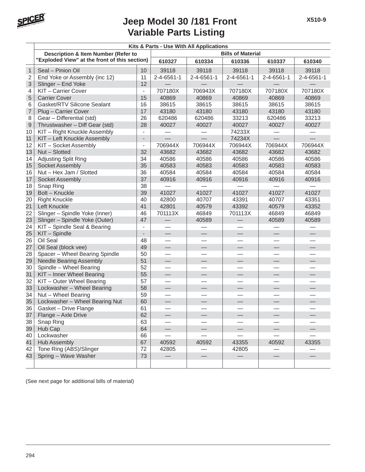

|                | Kits & Parts - Use With All Applications      |                          |                          |            |                          |                          |            |  |  |
|----------------|-----------------------------------------------|--------------------------|--------------------------|------------|--------------------------|--------------------------|------------|--|--|
|                | Description & Item Number (Refer to           |                          |                          |            | <b>Bills of Material</b> |                          |            |  |  |
|                | "Exploded View" at the front of this section) |                          | 610327                   | 610334     | 610336                   | 610337                   | 610340     |  |  |
| $\mathbf{1}$   | Seal - Pinion Oil                             | 10                       | 39118                    | 39118      | 39118                    | 39118                    | 39118      |  |  |
| $\overline{2}$ | End Yoke or Assembly (inc 12)                 | 11                       | 2-4-6561-1               | 2-4-6561-1 | 2-4-6561-1               | 2-4-6561-1               | 2-4-6561-1 |  |  |
| 3              | Slinger - End Yoke                            | 12                       |                          |            |                          |                          |            |  |  |
| 4              | KIT - Carrier Cover                           | $\overline{\phantom{a}}$ | 707180X                  | 706943X    | 707180X                  | 707180X                  | 707180X    |  |  |
| 5              | <b>Carrier Cover</b>                          | 15                       | 40869                    | 40869      | 40869                    | 40869                    | 40869      |  |  |
| 6              | Gasket/RTV Silicone Sealant                   | 16                       | 38615                    | 38615      | 38615                    | 38615                    | 38615      |  |  |
| $\overline{7}$ | Plug - Carrier Cover                          | 17                       | 43180                    | 43180      | 43180                    | 43180                    | 43180      |  |  |
| 8              | Gear - Differential (std)                     | 26                       | 620486                   | 620486     | 33213                    | 620486                   | 33213      |  |  |
| 9              | Thrustwasher - Diff Gear (std)                | 28                       | 40027                    | 40027      | 40027                    | 40027                    | 40027      |  |  |
| 10             | KIT - Right Knuckle Assembly                  | $\blacksquare$           |                          |            | 74233X                   |                          |            |  |  |
| 11             | KIT - Left Knuckle Assembly                   | $\overline{\phantom{a}}$ |                          |            | 74234X                   |                          |            |  |  |
| 12             | KIT - Socket Assembly                         | $\overline{\phantom{a}}$ | 706944X                  | 706944X    | 706944X                  | 706944X                  | 706944X    |  |  |
| 13             | Nut - Slotted                                 | 32                       | 43682                    | 43682      | 43682                    | 43682                    | 43682      |  |  |
| 14             | Adjusting Split Ring                          | 34                       | 40586                    | 40586      | 40586                    | 40586                    | 40586      |  |  |
| 15             | Socket Assembly                               | 35                       | 40583                    | 40583      | 40583                    | 40583                    | 40583      |  |  |
| 16             | Nut - Hex Jam / Slotted                       | 36                       | 40584                    | 40584      | 40584                    | 40584                    | 40584      |  |  |
| 17             | Socket Assembly                               | 37                       | 40916                    | 40916      | 40916                    | 40916                    | 40916      |  |  |
| 18             | Snap Ring                                     | 38                       |                          |            |                          |                          |            |  |  |
| 19             | Bolt - Knuckle                                | 39                       | 41027                    | 41027      | 41027                    | 41027                    | 41027      |  |  |
| 20             | <b>Right Knuckle</b>                          | 40                       | 42800                    | 40707      | 43391                    | 40707                    | 43351      |  |  |
| 21             | Left Knuckle                                  | 41                       | 42801                    | 40579      | 43392                    | 40579                    | 43352      |  |  |
| 22             | Slinger - Spindle Yoke (Inner)                | 46                       | 701113X                  | 46849      | 701113X                  | 46849                    | 46849      |  |  |
| 23             | Slinger - Spindle Yoke (Outer)                | 47                       |                          | 40589      |                          | 40589                    | 40589      |  |  |
| 24             | KIT - Spindle Seal & Bearing                  | $\overline{\phantom{a}}$ |                          |            |                          |                          |            |  |  |
| 25             | KIT - Spindle                                 | $\overline{\phantom{a}}$ |                          |            |                          |                          |            |  |  |
| 26             | Oil Seal                                      | 48                       |                          |            |                          |                          |            |  |  |
| 27             | Oil Seal (block vee)                          | 49                       | $\overline{\phantom{0}}$ |            | $\overline{\phantom{0}}$ | $\overline{\phantom{0}}$ |            |  |  |
| 28             | Spacer - Wheel Bearing Spindle                | 50                       |                          |            |                          |                          |            |  |  |
| 29             | <b>Needle Bearing Assembly</b>                | 51                       |                          |            |                          |                          |            |  |  |
| 30             | Spindle - Wheel Bearing                       | 52                       |                          |            |                          |                          |            |  |  |
| 31             | KIT - Inner Wheel Bearing                     | 55                       | $\qquad \qquad$          |            |                          |                          |            |  |  |
| 32             | KIT - Outer Wheel Bearing                     | 57                       |                          |            |                          |                          |            |  |  |
| 33             | Lockwasher - Wheel Bearing                    | 58                       |                          |            |                          |                          |            |  |  |
| 34             | Nut - Wheel Bearing                           | 59                       |                          |            |                          |                          |            |  |  |
| 35             | Lockwasher - Wheel Bearing Nut                | 60                       |                          |            |                          |                          |            |  |  |
| 36             | Gasket - Drive Flange                         | 61                       |                          |            |                          |                          |            |  |  |
| 37             | Flange - Axle Drive                           | 62                       |                          |            |                          |                          |            |  |  |
| 38             | Snap Ring                                     | 63                       |                          |            |                          |                          |            |  |  |
| 39             | Hub Cap                                       | 64                       |                          |            |                          |                          |            |  |  |
| 40             | Lockwasher                                    | 66                       |                          |            |                          |                          |            |  |  |
| 41             | Hub Assembly                                  | 67                       | 40592                    | 40592      | 43355                    | 40592                    | 43355      |  |  |
| 42             | Tone Ring (ABS)/Slinger                       | 72                       | 42805                    |            | 42805                    |                          |            |  |  |
| 43             | Spring - Wave Washer                          | 73                       |                          |            |                          |                          |            |  |  |
|                |                                               |                          |                          |            |                          |                          |            |  |  |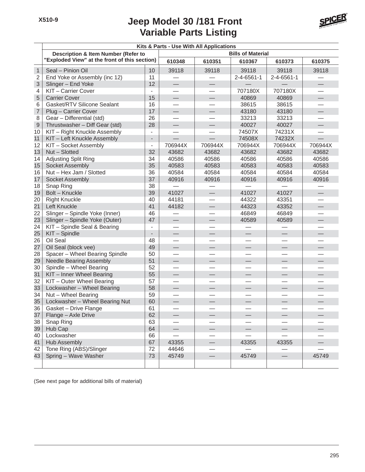Τ

# **Variable Parts Listing Jeep Model 30 /181 Front**



#### **Kits & Parts - Use With All Applications**

|                | <b>Description &amp; Item Number (Refer to</b> |                          |                          |                          | <b>Bills of Material</b> |                          |                          |
|----------------|------------------------------------------------|--------------------------|--------------------------|--------------------------|--------------------------|--------------------------|--------------------------|
|                | "Exploded View" at the front of this section)  |                          | 610348                   | 610351                   | 610367                   | 610373                   | 610375                   |
| $\mathbf{1}$   | Seal - Pinion Oil                              | 10                       | 39118                    | 39118                    | 39118                    | 39118                    | 39118                    |
| $\overline{2}$ | End Yoke or Assembly (inc 12)                  | 11                       |                          |                          | 2-4-6561-1               | $2 - 4 - 6561 - 1$       |                          |
| 3              | Slinger - End Yoke                             | 12                       | $\overline{\phantom{0}}$ |                          |                          |                          |                          |
| 4              | KIT - Carrier Cover                            |                          | $\overline{\phantom{0}}$ | $\overline{\phantom{0}}$ | 707180X                  | 707180X                  |                          |
| 5              | <b>Carrier Cover</b>                           | 15                       |                          |                          | 40869                    | 40869                    |                          |
| 6              | Gasket/RTV Silicone Sealant                    | 16                       |                          |                          | 38615                    | 38615                    |                          |
| $\overline{7}$ | Plug - Carrier Cover                           | 17                       |                          |                          | 43180                    | 43180                    | $\qquad \qquad -$        |
| 8              | Gear - Differential (std)                      | 26                       | $\overline{\phantom{0}}$ |                          | 33213                    | 33213                    |                          |
| 9              | Thrustwasher - Diff Gear (std)                 | 28                       |                          |                          | 40027                    | 40027                    | $\overline{\phantom{0}}$ |
| 10             | KIT - Right Knuckle Assembly                   | $\overline{\phantom{a}}$ |                          |                          | 74507X                   | 74231X                   |                          |
| 11             | KIT - Left Knuckle Assembly                    |                          |                          |                          | 74508X                   | 74232X                   |                          |
| 12             | KIT - Socket Assembly                          | $\overline{\phantom{a}}$ | 706944X                  | 706944X                  | 706944X                  | 706944X                  | 706944X                  |
| 13             | Nut - Slotted                                  | 32                       | 43682                    | 43682                    | 43682                    | 43682                    | 43682                    |
| 14             | Adjusting Split Ring                           | 34                       | 40586                    | 40586                    | 40586                    | 40586                    | 40586                    |
| 15             | Socket Assembly                                | 35                       | 40583                    | 40583                    | 40583                    | 40583                    | 40583                    |
| 16             | Nut - Hex Jam / Slotted                        | 36                       | 40584                    | 40584                    | 40584                    | 40584                    | 40584                    |
| 17             | Socket Assembly                                | 37                       | 40916                    | 40916                    | 40916                    | 40916                    | 40916                    |
| 18             | Snap Ring                                      | 38                       |                          |                          |                          |                          |                          |
| 19             | Bolt - Knuckle                                 | 39                       | 41027                    | ⇔                        | 41027                    | 41027                    |                          |
| 20             | <b>Right Knuckle</b>                           | 40                       | 44181                    |                          | 44322                    | 43351                    |                          |
| 21             | Left Knuckle                                   | 41                       | 44182                    |                          | 44323                    | 43352                    |                          |
| 22             | Slinger - Spindle Yoke (Inner)                 | 46                       |                          |                          | 46849                    | 46849                    |                          |
| 23             | Slinger - Spindle Yoke (Outer)                 | 47                       |                          | $\overline{\phantom{0}}$ | 40589                    | 40589                    |                          |
| 24             | KIT - Spindle Seal & Bearing                   | $\overline{\phantom{a}}$ |                          | $\overline{\phantom{0}}$ |                          |                          |                          |
| 25             | KIT - Spindle                                  | ÷,                       |                          |                          |                          |                          |                          |
| 26             | Oil Seal                                       | 48                       |                          |                          |                          |                          |                          |
| 27             | Oil Seal (block vee)                           | 49                       |                          | $\overline{\phantom{0}}$ |                          | $\overline{\phantom{0}}$ |                          |
| 28             | Spacer - Wheel Bearing Spindle                 | 50                       |                          |                          |                          |                          |                          |
| 29             | <b>Needle Bearing Assembly</b>                 | 51                       | $\qquad \qquad -$        |                          | $\overline{\phantom{0}}$ | $\qquad \qquad -$        | $\overline{\phantom{0}}$ |
| 30             | Spindle - Wheel Bearing                        | 52                       |                          |                          |                          |                          |                          |
| 31             | KIT - Inner Wheel Bearing                      | 55                       | $\qquad \qquad -$        |                          |                          |                          |                          |
| 32             | KIT - Outer Wheel Bearing                      | 57                       |                          |                          |                          |                          |                          |
| 33             | Lockwasher - Wheel Bearing                     | 58                       | $\overline{\phantom{0}}$ | $\overline{\phantom{0}}$ |                          | $\equiv$                 |                          |
| 34             | Nut - Wheel Bearing                            | 59                       | $\overline{\phantom{0}}$ |                          |                          | $\overline{\phantom{0}}$ |                          |
| 35             | Lockwasher - Wheel Bearing Nut                 | 60                       |                          |                          |                          |                          |                          |
| 36             | Gasket - Drive Flange                          | 61                       |                          |                          |                          |                          |                          |
|                | 37   Flange - Axle Drive                       | 62                       |                          |                          |                          |                          |                          |
| 38             | Snap Ring                                      | 63                       |                          |                          |                          |                          |                          |
| 39             | Hub Cap                                        | 64                       | $\overline{\phantom{0}}$ |                          |                          | $\overline{\phantom{0}}$ |                          |
| 40             | Lockwasher                                     | 66                       |                          |                          |                          |                          |                          |
| 41             | <b>Hub Assembly</b>                            | 67                       | 43355                    |                          | 43355                    | 43355                    |                          |
| 42             | Tone Ring (ABS)/Slinger                        | 72                       | 44646                    |                          |                          |                          |                          |
| 43             | Spring - Wave Washer                           | 73                       | 45749                    |                          | 45749                    | $\overline{\phantom{0}}$ | 45749                    |
|                |                                                |                          |                          |                          |                          |                          |                          |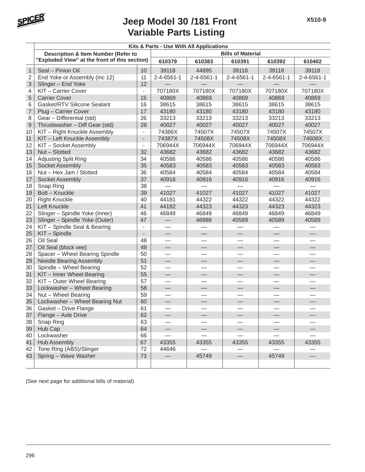

|                 | Kits & Parts - Use With All Applications                                             |                          |                          |                    |                          |            |            |  |  |
|-----------------|--------------------------------------------------------------------------------------|--------------------------|--------------------------|--------------------|--------------------------|------------|------------|--|--|
|                 | Description & Item Number (Refer to<br>"Exploded View" at the front of this section) |                          |                          |                    | <b>Bills of Material</b> |            |            |  |  |
|                 |                                                                                      |                          | 610379                   | 610383             | 610391                   | 610392     | 610402     |  |  |
| $\mathbf{1}$    | Seal - Pinion Oil                                                                    | 10                       | 39118                    | 44895              | 39118                    | 39118      | 39118      |  |  |
| $\overline{2}$  | End Yoke or Assembly (inc 12)                                                        | 11                       | 2-4-6561-1               | $2 - 4 - 6561 - 1$ | 2-4-6561-1               | 2-4-6561-1 | 2-4-6561-1 |  |  |
| 3               | Slinger - End Yoke                                                                   | 12                       |                          |                    |                          |            |            |  |  |
| 4               | KIT - Carrier Cover                                                                  | $\overline{\phantom{a}}$ | 707180X                  | 707180X            | 707180X                  | 707180X    | 707180X    |  |  |
| 5               | <b>Carrier Cover</b>                                                                 | 15                       | 40869                    | 40869              | 40869                    | 40869      | 40869      |  |  |
| 6               | Gasket/RTV Silicone Sealant                                                          | 16                       | 38615                    | 38615              | 38615                    | 38615      | 38615      |  |  |
| $\overline{7}$  | Plug - Carrier Cover                                                                 | 17                       | 43180                    | 43180              | 43180                    | 43180      | 43180      |  |  |
| 8               | Gear - Differential (std)                                                            | 26                       | 33213                    | 33213              | 33213                    | 33213      | 33213      |  |  |
| 9               | Thrustwasher - Diff Gear (std)                                                       | 28                       | 40027                    | 40027              | 40027                    | 40027      | 40027      |  |  |
| 10              | KIT - Right Knuckle Assembly                                                         | $\overline{\phantom{a}}$ | 74386X                   | 74507X             | 74507X                   | 74507X     | 74507X     |  |  |
| 11              | KIT - Left Knuckle Assembly                                                          | $\overline{\phantom{a}}$ | 74387X                   | 74508X             | 74508X                   | 74508X     | 74508X     |  |  |
| 12              | KIT - Socket Assembly                                                                | $\overline{\phantom{a}}$ | 706944X                  | 706944X            | 706944X                  | 706944X    | 706944X    |  |  |
| 13              | Nut - Slotted                                                                        | 32                       | 43682                    | 43682              | 43682                    | 43682      | 43682      |  |  |
| 14              | Adjusting Split Ring                                                                 | 34                       | 40586                    | 40586              | 40586                    | 40586      | 40586      |  |  |
| 15              | Socket Assembly                                                                      | 35                       | 40583                    | 40583              | 40583                    | 40583      | 40583      |  |  |
| 16              | Nut - Hex Jam / Slotted                                                              | 36                       | 40584                    | 40584              | 40584                    | 40584      | 40584      |  |  |
| 17              | Socket Assembly                                                                      | 37                       | 40916                    | 40916              | 40916                    | 40916      | 40916      |  |  |
| 18              | Snap Ring                                                                            | 38                       |                          |                    |                          |            |            |  |  |
| 19              | Bolt - Knuckle                                                                       | 39                       | 41027                    | 41027              | 41027                    | 41027      | 41027      |  |  |
| 20              | <b>Right Knuckle</b>                                                                 | 40                       | 44181                    | 44322              | 44322                    | 44322      | 44322      |  |  |
| 21              | Left Knuckle                                                                         | 41                       | 44182                    | 44323              | 44323                    | 44323      | 44323      |  |  |
| 22              | Slinger - Spindle Yoke (Inner)                                                       | 46                       | 46849                    | 46849              | 46849                    | 46849      | 46849      |  |  |
| 23              | Slinger - Spindle Yoke (Outer)                                                       | 47                       | $\overline{\phantom{0}}$ | 46988              | 40589                    | 40589      | 40589      |  |  |
| $\overline{24}$ | KIT - Spindle Seal & Bearing                                                         | $\overline{\phantom{a}}$ |                          |                    |                          |            |            |  |  |
| 25              | KIT - Spindle                                                                        | $\overline{\phantom{a}}$ |                          |                    |                          |            |            |  |  |
| 26              | Oil Seal                                                                             | 48                       |                          |                    |                          |            |            |  |  |
| 27              | Oil Seal (block vee)                                                                 | 49                       | $\qquad \qquad$          |                    | $\overline{\phantom{0}}$ |            |            |  |  |
| 28              | Spacer - Wheel Bearing Spindle                                                       | 50                       |                          |                    |                          |            |            |  |  |
| 29              | <b>Needle Bearing Assembly</b>                                                       | 51                       |                          |                    |                          |            |            |  |  |
| 30              | Spindle - Wheel Bearing                                                              | 52                       |                          |                    |                          |            |            |  |  |
| 31              | KIT - Inner Wheel Bearing                                                            | 55                       | $\qquad \qquad$          |                    |                          |            |            |  |  |
| 32              | KIT - Outer Wheel Bearing                                                            | 57                       |                          |                    |                          |            |            |  |  |
| 33              | Lockwasher - Wheel Bearing                                                           | 58                       |                          |                    |                          |            |            |  |  |
| 34              | Nut - Wheel Bearing                                                                  | 59                       | $\overline{\phantom{0}}$ |                    |                          |            |            |  |  |
| 35              | Lockwasher - Wheel Bearing Nut                                                       | 60                       |                          |                    |                          |            |            |  |  |
| 36              | Gasket – Drive Flange                                                                | 61                       |                          |                    |                          |            |            |  |  |
| 37              | Flange - Axle Drive                                                                  | 62                       |                          |                    |                          |            |            |  |  |
| 38              | Snap Ring                                                                            | 63                       |                          |                    |                          |            |            |  |  |
| 39              | Hub Cap                                                                              | 64                       |                          |                    |                          |            |            |  |  |
| 40              | Lockwasher                                                                           | 66                       |                          |                    |                          |            |            |  |  |
| 41              | Hub Assembly                                                                         | 67                       | 43355                    | 43355              | 43355                    | 43355      | 43355      |  |  |
| 42              | Tone Ring (ABS)/Slinger                                                              | 72                       | 44646                    |                    |                          |            |            |  |  |
| 43              | Spring - Wave Washer                                                                 | 73                       |                          | 45749              |                          | 45749      |            |  |  |
|                 |                                                                                      |                          |                          |                    |                          |            |            |  |  |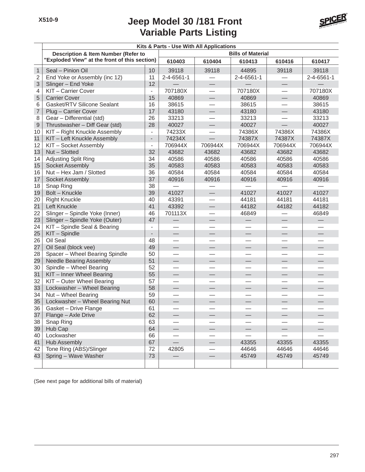

|                          | Kits & Parts - Use With All Applications      |                          |                          |                          |                          |                               |                          |  |  |  |
|--------------------------|-----------------------------------------------|--------------------------|--------------------------|--------------------------|--------------------------|-------------------------------|--------------------------|--|--|--|
|                          | Description & Item Number (Refer to           |                          |                          |                          | <b>Bills of Material</b> |                               |                          |  |  |  |
|                          | "Exploded View" at the front of this section) |                          | 610403                   | 610404                   | 610413                   | 610416                        | 610417                   |  |  |  |
| $\mathbf{1}$             | Seal - Pinion Oil                             | 10                       | 39118                    | 39118                    | 44895                    | 39118                         | 39118                    |  |  |  |
| 2                        | End Yoke or Assembly (inc 12)                 | 11                       | 2-4-6561-1               |                          | $2 - 4 - 6561 - 1$       |                               | 2-4-6561-1               |  |  |  |
| 3                        | Slinger - End Yoke                            | 12                       |                          |                          |                          |                               |                          |  |  |  |
| 4                        | KIT-Carrier Cover                             | $\overline{\phantom{a}}$ | 707180X                  |                          | 707180X                  |                               | 707180X                  |  |  |  |
| 5                        | <b>Carrier Cover</b>                          | 15                       | 40869                    |                          | 40869                    | $\overbrace{\phantom{12333}}$ | 40869                    |  |  |  |
| 6                        | Gasket/RTV Silicone Sealant                   | 16                       | 38615                    |                          | 38615                    |                               | 38615                    |  |  |  |
| $\overline{\mathcal{I}}$ | Plug - Carrier Cover                          | 17                       | 43180                    | $\frac{1}{2}$            | 43180                    |                               | 43180                    |  |  |  |
| 8                        | Gear - Differential (std)                     | 26                       | 33213                    |                          | 33213                    |                               | 33213                    |  |  |  |
| $\boldsymbol{9}$         | Thrustwasher - Diff Gear (std)                | 28                       | 40027                    |                          | 40027                    |                               | 40027                    |  |  |  |
| 10                       | KIT - Right Knuckle Assembly                  |                          | 74233X                   |                          | 74386X                   | 74386X                        | 74386X                   |  |  |  |
| 11                       | KIT - Left Knuckle Assembly                   |                          | 74234X                   | $\equiv$                 | 74387X                   | 74387X                        | 74387X                   |  |  |  |
| 12                       | KIT - Socket Assembly                         | $\overline{\phantom{a}}$ | 706944X                  | 706944X                  | 706944X                  | 706944X                       | 706944X                  |  |  |  |
| 13                       | Nut - Slotted                                 | 32                       | 43682                    | 43682                    | 43682                    | 43682                         | 43682                    |  |  |  |
| 14                       | Adjusting Split Ring                          | 34                       | 40586                    | 40586                    | 40586                    | 40586                         | 40586                    |  |  |  |
| 15                       | Socket Assembly                               | 35                       | 40583                    | 40583                    | 40583                    | 40583                         | 40583                    |  |  |  |
| 16                       | Nut - Hex Jam / Slotted                       | 36                       | 40584                    | 40584                    | 40584                    | 40584                         | 40584                    |  |  |  |
| 17                       | <b>Socket Assembly</b>                        | 37                       | 40916                    | 40916                    | 40916                    | 40916                         | 40916                    |  |  |  |
| 18                       | Snap Ring                                     | 38                       |                          |                          |                          |                               |                          |  |  |  |
| 19                       | <b>Bolt - Knuckle</b>                         | 39                       | 41027                    |                          | 41027                    | 41027                         | 41027                    |  |  |  |
| 20                       | <b>Right Knuckle</b>                          | 40                       | 43391                    |                          | 44181                    | 44181                         | 44181                    |  |  |  |
| 21                       | Left Knuckle                                  | 41                       | 43392                    | $\overline{\phantom{0}}$ | 44182                    | 44182                         | 44182                    |  |  |  |
| 22                       | Slinger - Spindle Yoke (Inner)                | 46                       | 701113X                  |                          | 46849                    |                               | 46849                    |  |  |  |
| 23                       | Slinger - Spindle Yoke (Outer)                | 47                       |                          |                          |                          |                               |                          |  |  |  |
| 24                       | KIT - Spindle Seal & Bearing                  |                          |                          |                          |                          |                               |                          |  |  |  |
| 25                       | KIT - Spindle                                 |                          | $\overline{\phantom{0}}$ |                          | $\overline{\phantom{0}}$ |                               |                          |  |  |  |
| 26                       | Oil Seal                                      | 48                       | $\overline{\phantom{0}}$ |                          |                          |                               |                          |  |  |  |
| 27                       | Oil Seal (block vee)                          | 49                       |                          |                          |                          | $\overline{\phantom{0}}$      |                          |  |  |  |
| 28                       | Spacer - Wheel Bearing Spindle                | 50                       |                          |                          |                          |                               |                          |  |  |  |
| 29                       | <b>Needle Bearing Assembly</b>                | 51                       |                          | ⋟                        | $\overline{\phantom{0}}$ |                               |                          |  |  |  |
| 30                       | Spindle - Wheel Bearing                       | 52                       |                          |                          |                          |                               |                          |  |  |  |
| 31                       | KIT - Inner Wheel Bearing                     | 55                       | $\qquad \qquad$          | $\overline{\phantom{0}}$ |                          |                               | $\overline{\phantom{0}}$ |  |  |  |
| 32                       | KIT - Outer Wheel Bearing                     | 57                       | $\overline{\phantom{0}}$ |                          | $\overline{\phantom{0}}$ | $\overline{\phantom{0}}$      |                          |  |  |  |
| 33                       | Lockwasher - Wheel Bearing                    | 58                       |                          |                          |                          |                               |                          |  |  |  |
| 34                       | Nut - Wheel Bearing                           | 59                       |                          |                          |                          |                               |                          |  |  |  |
| 35                       | Lockwasher - Wheel Bearing Nut                | 60                       | $\overline{\phantom{0}}$ | —                        |                          | —                             |                          |  |  |  |
| 36                       | Gasket - Drive Flange                         | 61                       |                          |                          |                          |                               |                          |  |  |  |
| 37                       | Flange - Axle Drive                           | 62                       |                          |                          |                          |                               |                          |  |  |  |
| 38                       | Snap Ring                                     | 63                       |                          |                          |                          |                               |                          |  |  |  |
| 39                       | Hub Cap                                       | 64                       |                          |                          |                          |                               |                          |  |  |  |
| 40                       | Lockwasher                                    | 66                       |                          |                          |                          |                               |                          |  |  |  |
| 41                       | <b>Hub Assembly</b>                           | 67                       |                          |                          | 43355                    | 43355                         | 43355                    |  |  |  |
| 42                       | Tone Ring (ABS)/Slinger                       | 72                       | 42805                    |                          | 44646                    | 44646                         | 44646                    |  |  |  |
| 43                       | Spring - Wave Washer                          | 73                       |                          |                          | 45749                    | 45749                         | 45749                    |  |  |  |
|                          |                                               |                          |                          |                          |                          |                               |                          |  |  |  |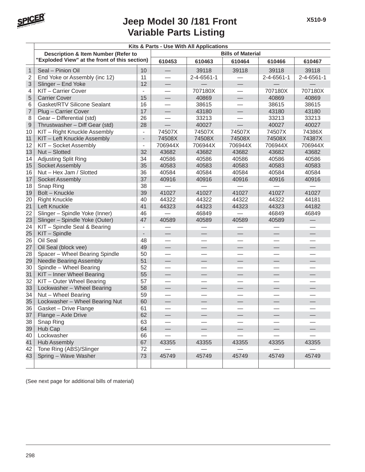

|                | Kits & Parts - Use With All Applications      |                          |                          |            |                          |                          |            |  |  |
|----------------|-----------------------------------------------|--------------------------|--------------------------|------------|--------------------------|--------------------------|------------|--|--|
|                | Description & Item Number (Refer to           |                          | <b>Bills of Material</b> |            |                          |                          |            |  |  |
|                | "Exploded View" at the front of this section) |                          | 610453                   | 610463     | 610464                   | 610466                   | 610467     |  |  |
| $\mathbf{1}$   | Seal - Pinion Oil                             | 10                       | $\qquad \qquad$          | 39118      | 39118                    | 39118                    | 39118      |  |  |
| $\overline{2}$ | End Yoke or Assembly (inc 12)                 | 11                       |                          | 2-4-6561-1 |                          | 2-4-6561-1               | 2-4-6561-1 |  |  |
| 3              | Slinger - End Yoke                            | 12                       | $\overline{\phantom{0}}$ |            |                          |                          |            |  |  |
| 4              | KIT-Carrier Cover                             | ÷.                       |                          | 707180X    | $\overline{\phantom{0}}$ | 707180X                  | 707180X    |  |  |
| 5              | <b>Carrier Cover</b>                          | 15                       |                          | 40869      |                          | 40869                    | 40869      |  |  |
| 6              | Gasket/RTV Silicone Sealant                   | 16                       |                          | 38615      |                          | 38615                    | 38615      |  |  |
| $\overline{7}$ | Plug - Carrier Cover                          | 17                       |                          | 43180      | $\overline{\phantom{0}}$ | 43180                    | 43180      |  |  |
| 8              | Gear - Differential (std)                     | 26                       | $\overline{\phantom{0}}$ | 33213      |                          | 33213                    | 33213      |  |  |
| $\mathsf 9$    | Thrustwasher - Diff Gear (std)                | 28                       |                          | 40027      |                          | 40027                    | 40027      |  |  |
| 10             | KIT - Right Knuckle Assembly                  | $\frac{1}{2}$            | 74507X                   | 74507X     | 74507X                   | 74507X                   | 74386X     |  |  |
| 11             | KIT - Left Knuckle Assembly                   | $\overline{\phantom{a}}$ | 74508X                   | 74508X     | 74508X                   | 74508X                   | 74387X     |  |  |
| 12             | KIT - Socket Assembly                         | $\blacksquare$           | 706944X                  | 706944X    | 706944X                  | 706944X                  | 706944X    |  |  |
| 13             | Nut - Slotted                                 | 32                       | 43682                    | 43682      | 43682                    | 43682                    | 43682      |  |  |
| 14             | <b>Adjusting Split Ring</b>                   | 34                       | 40586                    | 40586      | 40586                    | 40586                    | 40586      |  |  |
| 15             | Socket Assembly                               | 35                       | 40583                    | 40583      | 40583                    | 40583                    | 40583      |  |  |
| 16             | Nut - Hex Jam / Slotted                       | 36                       | 40584                    | 40584      | 40584                    | 40584                    | 40584      |  |  |
| 17             | Socket Assembly                               | 37                       | 40916                    | 40916      | 40916                    | 40916                    | 40916      |  |  |
| 18             | Snap Ring                                     | 38                       |                          |            |                          |                          |            |  |  |
| 19             | Bolt - Knuckle                                | 39                       | 41027                    | 41027      | 41027                    | 41027                    | 41027      |  |  |
| 20             | <b>Right Knuckle</b>                          | 40                       | 44322                    | 44322      | 44322                    | 44322                    | 44181      |  |  |
| 21             | Left Knuckle                                  | 41                       | 44323                    | 44323      | 44323                    | 44323                    | 44182      |  |  |
| 22             | Slinger - Spindle Yoke (Inner)                | 46                       |                          | 46849      |                          | 46849                    | 46849      |  |  |
| 23             | Slinger - Spindle Yoke (Outer)                | 47                       | 40589                    | 40589      | 40589                    | 40589                    |            |  |  |
| 24             | KIT - Spindle Seal & Bearing                  | $\overline{a}$           |                          |            |                          |                          |            |  |  |
| 25             | KIT - Spindle                                 | $\overline{\phantom{0}}$ |                          |            |                          |                          |            |  |  |
| 26             | Oil Seal                                      | 48                       |                          |            |                          |                          |            |  |  |
| 27             | Oil Seal (block vee)                          | 49                       | $\qquad \qquad$          |            | $\equiv$                 | $\overline{\phantom{0}}$ |            |  |  |
| 28             | Spacer - Wheel Bearing Spindle                | 50                       |                          |            |                          |                          |            |  |  |
| 29             | <b>Needle Bearing Assembly</b>                | 51                       |                          |            |                          |                          |            |  |  |
| 30             | Spindle - Wheel Bearing                       | 52                       |                          |            |                          |                          |            |  |  |
| 31             | KIT - Inner Wheel Bearing                     | 55                       | $\qquad \qquad$          |            |                          |                          |            |  |  |
| 32             | KIT - Outer Wheel Bearing                     | 57                       |                          |            |                          |                          |            |  |  |
| 33             | Lockwasher - Wheel Bearing                    | 58                       | $\overline{\phantom{0}}$ |            |                          |                          |            |  |  |
| 34             | Nut - Wheel Bearing                           | 59                       |                          |            |                          |                          |            |  |  |
| 35             | Lockwasher - Wheel Bearing Nut                | 60                       |                          |            |                          |                          |            |  |  |
| 36             | Gasket - Drive Flange                         | 61                       |                          |            |                          |                          |            |  |  |
| 37             | Flange - Axle Drive                           | 62                       |                          |            |                          |                          |            |  |  |
| 38             | Snap Ring                                     | 63                       |                          |            |                          |                          |            |  |  |
| 39             | Hub Cap                                       | 64                       |                          |            |                          |                          |            |  |  |
| 40             | Lockwasher                                    | 66                       |                          |            |                          |                          |            |  |  |
| 41             | <b>Hub Assembly</b>                           | 67                       | 43355                    | 43355      | 43355                    | 43355                    | 43355      |  |  |
| 42             | Tone Ring (ABS)/Slinger                       | 72                       |                          |            |                          |                          |            |  |  |
| 43             | Spring - Wave Washer                          | 73                       | 45749                    | 45749      | 45749                    | 45749                    | 45749      |  |  |
|                |                                               |                          |                          |            |                          |                          |            |  |  |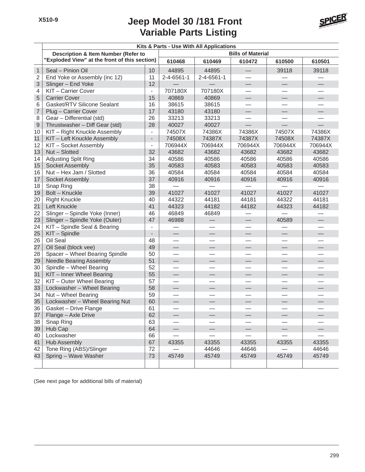

|                | Kits & Parts - Use With All Applications      |                          |                          |                          |                          |                          |         |  |  |  |
|----------------|-----------------------------------------------|--------------------------|--------------------------|--------------------------|--------------------------|--------------------------|---------|--|--|--|
|                | Description & Item Number (Refer to           |                          |                          |                          | <b>Bills of Material</b> |                          |         |  |  |  |
|                | "Exploded View" at the front of this section) |                          | 610468                   | 610469                   | 610472                   | 610500                   | 610501  |  |  |  |
| $\mathbf{1}$   | Seal - Pinion Oil                             | 10 <sup>1</sup>          | 44895                    | 44895                    |                          | 39118                    | 39118   |  |  |  |
| 2              | End Yoke or Assembly (inc 12)                 | 11                       | 2-4-6561-1               | 2-4-6561-1               |                          |                          |         |  |  |  |
| 3              | Slinger - End Yoke                            | 12                       |                          |                          | $\overline{\phantom{0}}$ | $\qquad \qquad -$        |         |  |  |  |
| 4              | KIT - Carrier Cover                           | $\overline{\phantom{0}}$ | 707180X                  | 707180X                  |                          |                          |         |  |  |  |
| 5              | <b>Carrier Cover</b>                          | 15                       | 40869                    | 40869                    | $\qquad \qquad -$        |                          |         |  |  |  |
| 6              | Gasket/RTV Silicone Sealant                   | 16                       | 38615                    | 38615                    |                          |                          |         |  |  |  |
| $\overline{7}$ | Plug - Carrier Cover                          | 17                       | 43180                    | 43180                    |                          | $\overline{\phantom{0}}$ |         |  |  |  |
| 8              | Gear - Differential (std)                     | 26                       | 33213                    | 33213                    |                          | $\overline{\phantom{0}}$ |         |  |  |  |
| $\hbox{9}$     | Thrustwasher - Diff Gear (std)                | 28                       | 40027                    | 40027                    |                          |                          |         |  |  |  |
| 10             | KIT - Right Knuckle Assembly                  |                          | 74507X                   | 74386X                   | 74386X                   | 74507X                   | 74386X  |  |  |  |
| 11             | KIT - Left Knuckle Assembly                   | $\overline{\phantom{a}}$ | 74508X                   | 74387X                   | 74387X                   | 74508X                   | 74387X  |  |  |  |
| 12             | KIT - Socket Assembly                         | $\overline{\phantom{a}}$ | 706944X                  | 706944X                  | 706944X                  | 706944X                  | 706944X |  |  |  |
| 13             | Nut - Slotted                                 | 32                       | 43682                    | 43682                    | 43682                    | 43682                    | 43682   |  |  |  |
| 14             | Adjusting Split Ring                          | 34                       | 40586                    | 40586                    | 40586                    | 40586                    | 40586   |  |  |  |
| 15             | Socket Assembly                               | 35                       | 40583                    | 40583                    | 40583                    | 40583                    | 40583   |  |  |  |
| 16             | Nut - Hex Jam / Slotted                       | 36                       | 40584                    | 40584                    | 40584                    | 40584                    | 40584   |  |  |  |
| 17             | Socket Assembly                               | 37                       | 40916                    | 40916                    | 40916                    | 40916                    | 40916   |  |  |  |
| 18             | Snap Ring                                     | 38                       |                          |                          |                          |                          |         |  |  |  |
| 19             | <b>Bolt - Knuckle</b>                         | 39                       | 41027                    | 41027                    | 41027                    | 41027                    | 41027   |  |  |  |
| 20             | <b>Right Knuckle</b>                          | 40                       | 44322                    | 44181                    | 44181                    | 44322                    | 44181   |  |  |  |
| 21             | Left Knuckle                                  | 41                       | 44323                    | 44182                    | 44182                    | 44323                    | 44182   |  |  |  |
| 22             | Slinger - Spindle Yoke (Inner)                | 46                       | 46849                    | 46849                    |                          |                          |         |  |  |  |
| 23             | Slinger - Spindle Yoke (Outer)                | 47                       | 46988                    | $\overline{\phantom{0}}$ |                          | 40589                    |         |  |  |  |
| 24             | KIT - Spindle Seal & Bearing                  | $\overline{\phantom{0}}$ |                          |                          |                          |                          |         |  |  |  |
| 25             | KIT - Spindle                                 |                          |                          | $\qquad \qquad \qquad$   | $\overline{\phantom{0}}$ |                          |         |  |  |  |
| 26             | Oil Seal                                      | 48                       |                          |                          |                          |                          |         |  |  |  |
| 27             | Oil Seal (block vee)                          | 49                       | —<br>—                   | $\overline{\phantom{0}}$ |                          |                          |         |  |  |  |
| 28             | Spacer - Wheel Bearing Spindle                | 50                       | $\overline{\phantom{0}}$ |                          |                          | $\overline{\phantom{0}}$ |         |  |  |  |
| 29             | <b>Needle Bearing Assembly</b>                | 51                       |                          |                          |                          |                          |         |  |  |  |
| 30             | Spindle - Wheel Bearing                       | 52                       |                          |                          |                          |                          |         |  |  |  |
| 31             | KIT - Inner Wheel Bearing                     | 55                       |                          |                          | $\overline{\phantom{0}}$ | $\overline{\phantom{0}}$ |         |  |  |  |
| 32             | KIT - Outer Wheel Bearing                     | 57                       |                          |                          |                          |                          |         |  |  |  |
| 33             | Lockwasher - Wheel Bearing                    | 58                       | $\overline{\phantom{0}}$ |                          |                          | $\qquad \qquad -$        |         |  |  |  |
| 34             | Nut - Wheel Bearing                           | 59                       |                          |                          |                          |                          |         |  |  |  |
| 35             | Lockwasher - Wheel Bearing Nut                | 60                       |                          |                          |                          |                          |         |  |  |  |
| 36             | Gasket - Drive Flange                         | 61                       |                          |                          |                          |                          |         |  |  |  |
| 37             | Flange - Axle Drive                           | 62                       |                          |                          |                          |                          |         |  |  |  |
| 38             | Snap Ring                                     | 63                       |                          |                          |                          |                          |         |  |  |  |
| 39             | Hub Cap                                       | 64                       |                          |                          |                          |                          |         |  |  |  |
| 40             | Lockwasher                                    | 66                       |                          |                          |                          |                          |         |  |  |  |
| 41             | <b>Hub Assembly</b>                           | 67                       | 43355                    | 43355                    | 43355                    | 43355                    | 43355   |  |  |  |
| 42             | Tone Ring (ABS)/Slinger                       | 72                       |                          | 44646                    | 44646                    |                          | 44646   |  |  |  |
| 43             | Spring - Wave Washer                          | 73                       | 45749                    | 45749                    | 45749                    | 45749                    | 45749   |  |  |  |
|                |                                               |                          |                          |                          |                          |                          |         |  |  |  |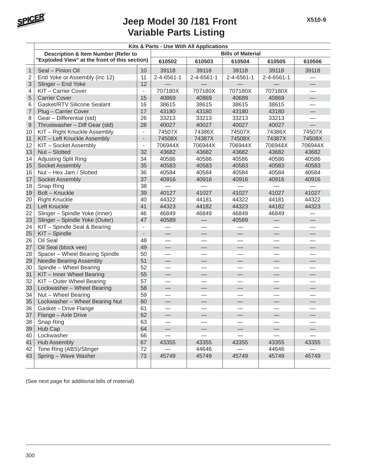

|                | Kits & Parts - Use With All Applications       |                          |                          |                          |                          |                          |                          |  |  |  |  |
|----------------|------------------------------------------------|--------------------------|--------------------------|--------------------------|--------------------------|--------------------------|--------------------------|--|--|--|--|
|                | <b>Description &amp; Item Number (Refer to</b> |                          | <b>Bills of Material</b> |                          |                          |                          |                          |  |  |  |  |
|                | "Exploded View" at the front of this section)  |                          | 610502                   | 610503                   | 610504                   | 610505                   | 610506                   |  |  |  |  |
| $\mathbf{1}$   | Seal - Pinion Oil                              | 10                       | 39118                    | 39118                    | 39118                    | 39118                    | 39118                    |  |  |  |  |
| $\overline{2}$ | End Yoke or Assembly (inc 12)                  | 11                       | 2-4-6561-1               | 2-4-6561-1               | 2-4-6561-1               | 2-4-6561-1               |                          |  |  |  |  |
| 3              | Slinger - End Yoke                             | 12                       |                          |                          |                          |                          |                          |  |  |  |  |
| 4              | KIT-Carrier Cover                              | $\overline{\phantom{0}}$ | 707180X                  | 707180X                  | 707180X                  | 707180X                  |                          |  |  |  |  |
| 5              | <b>Carrier Cover</b>                           | 15                       | 40869                    | 40869                    | 40689                    | 40869                    | $\overline{\phantom{0}}$ |  |  |  |  |
| 6              | Gasket/RTV Silicone Sealant                    | 16                       | 38615                    | 38615                    | 38615                    | 38615                    |                          |  |  |  |  |
| $\overline{7}$ | Plug - Carrier Cover                           | 17                       | 43180                    | 43180                    | 43180                    | 43180                    |                          |  |  |  |  |
| 8              | Gear - Differential (std)                      | 26                       | 33213                    | 33213                    | 33213                    | 33213                    |                          |  |  |  |  |
| 9              | Thrustwasher - Diff Gear (std)                 | 28                       | 40027                    | 40027                    | 40027                    | 40027                    |                          |  |  |  |  |
| 10             | KIT - Right Knuckle Assembly                   | $\blacksquare$           | 74507X                   | 74386X                   | 74507X                   | 74386X                   | 74507X                   |  |  |  |  |
| 11             | KIT - Left Knuckle Assembly                    | $\overline{\phantom{0}}$ | 74508X                   | 74387X                   | 74508X                   | 74387X                   | 74508X                   |  |  |  |  |
| 12             | KIT - Socket Assembly                          | $\overline{\phantom{0}}$ | 706944X                  | 706944X                  | 706944X                  | 706944X                  | 706944X                  |  |  |  |  |
| 13             | Nut - Slotted                                  | 32                       | 43682                    | 43682                    | 43682                    | 43682                    | 43682                    |  |  |  |  |
| 14             | Adjusting Split Ring                           | 34                       | 40586                    | 40586                    | 40586                    | 40586                    | 40586                    |  |  |  |  |
| 15             | Socket Assembly                                | 35                       | 40583                    | 40583                    | 40583                    | 40583                    | 40583                    |  |  |  |  |
| 16             | Nut - Hex Jam / Slotted                        | 36                       | 40584                    | 40584                    | 40584                    | 40584                    | 40584                    |  |  |  |  |
| 17             | Socket Assembly                                | 37                       | 40916                    | 40916                    | 40916                    | 40916                    | 40916                    |  |  |  |  |
| 18             | Snap Ring                                      | 38                       |                          |                          |                          |                          |                          |  |  |  |  |
| 19             | Bolt - Knuckle                                 | 39                       | 40127                    | 41027                    | 41027                    | 41027                    | 41027                    |  |  |  |  |
| 20             | <b>Right Knuckle</b>                           | 40                       | 44322                    | 44181                    | 44322                    | 44181                    | 44322                    |  |  |  |  |
| 21             | Left Knuckle                                   | 41                       | 44323                    | 44182                    | 44323                    | 44182                    | 44323                    |  |  |  |  |
| 22             | Slinger - Spindle Yoke (Inner)                 | 46                       | 46849                    | 46849                    | 46849                    | 46849                    |                          |  |  |  |  |
| 23             | Slinger - Spindle Yoke (Outer)                 | 47                       | 40589                    |                          | 40589                    |                          |                          |  |  |  |  |
| 24             | KIT - Spindle Seal & Bearing                   | $\overline{\phantom{a}}$ |                          |                          |                          |                          |                          |  |  |  |  |
| 25             | KIT - Spindle                                  | $\overline{\phantom{a}}$ | $\qquad \qquad -$        | $\overline{\phantom{0}}$ | $\qquad \qquad$          | $\overline{\phantom{0}}$ |                          |  |  |  |  |
| 26             | Oil Seal                                       | 48                       |                          |                          |                          |                          |                          |  |  |  |  |
| 27             | Oil Seal (block vee)                           | 49                       |                          |                          |                          |                          |                          |  |  |  |  |
| 28             | Spacer - Wheel Bearing Spindle                 | 50                       |                          |                          |                          |                          |                          |  |  |  |  |
| 29             | <b>Needle Bearing Assembly</b>                 | 51                       | $\frac{1}{2}$            |                          | $\overline{\phantom{0}}$ | $\equiv$                 |                          |  |  |  |  |
| 30             | Spindle - Wheel Bearing                        | 52                       | $\overline{\phantom{0}}$ |                          |                          |                          |                          |  |  |  |  |
| 31             | KIT - Inner Wheel Bearing                      | 55                       |                          |                          |                          |                          |                          |  |  |  |  |
| 32             | KIT - Outer Wheel Bearing                      | 57                       |                          |                          |                          |                          |                          |  |  |  |  |
| 33             | Lockwasher - Wheel Bearing                     | 58                       | $\qquad \qquad$          |                          | $\qquad \qquad$          |                          |                          |  |  |  |  |
| 34             | Nut - Wheel Bearing                            | 59                       | $\overline{\phantom{0}}$ |                          |                          |                          |                          |  |  |  |  |
| 35             | Lockwasher - Wheel Bearing Nut                 | 60                       | $\overline{\phantom{0}}$ |                          |                          |                          |                          |  |  |  |  |
| 36             | Gasket - Drive Flange                          | 61                       |                          |                          |                          |                          |                          |  |  |  |  |
| 37             | Flange - Axle Drive                            | 62                       |                          |                          |                          |                          |                          |  |  |  |  |
| 38             | Snap Ring                                      | 63                       |                          |                          |                          |                          |                          |  |  |  |  |
| 39             | Hub Cap                                        | 64                       |                          |                          |                          |                          |                          |  |  |  |  |
| 40             | Lockwasher                                     | 66                       |                          |                          |                          |                          |                          |  |  |  |  |
| 41             | <b>Hub Assembly</b>                            | 67                       | 43355                    | 43355                    | 43355                    | 43355                    | 43355                    |  |  |  |  |
| 42             | Tone Ring (ABS)/Slinger                        | 72                       |                          | 44646                    |                          | 44646                    |                          |  |  |  |  |
| 43             | Spring - Wave Washer                           | 73                       | 45749                    | 45749                    | 45749                    | 45749                    | 45749                    |  |  |  |  |
|                |                                                |                          |                          |                          |                          |                          |                          |  |  |  |  |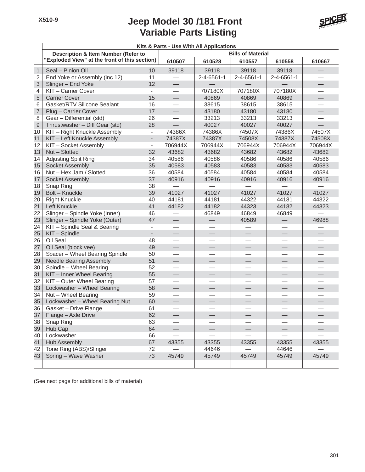

|                | Kits & Parts - Use With All Applications       |                          |                          |                          |            |                          |                          |  |  |  |  |
|----------------|------------------------------------------------|--------------------------|--------------------------|--------------------------|------------|--------------------------|--------------------------|--|--|--|--|
|                | <b>Description &amp; Item Number (Refer to</b> |                          | <b>Bills of Material</b> |                          |            |                          |                          |  |  |  |  |
|                | "Exploded View" at the front of this section)  |                          | 610507                   | 610528                   | 610557     | 610558                   | 610667                   |  |  |  |  |
| $\mathbf{1}$   | Seal - Pinion Oil                              | 10 <sup>°</sup>          | 39118                    | 39118                    | 39118      | 39118                    |                          |  |  |  |  |
| $\overline{2}$ | End Yoke or Assembly (inc 12)                  | 11                       |                          | 2-4-6561-1               | 2-4-6561-1 | 2-4-6561-1               |                          |  |  |  |  |
| 3              | Slinger - End Yoke                             | 12                       |                          |                          |            |                          |                          |  |  |  |  |
| 4              | KIT - Carrier Cover                            |                          |                          | 707180X                  | 707180X    | 707180X                  |                          |  |  |  |  |
| 5              | <b>Carrier Cover</b>                           | 15                       | $\qquad \qquad$          | 40869                    | 40869      | 40869                    | $\overline{\phantom{0}}$ |  |  |  |  |
| 6              | Gasket/RTV Silicone Sealant                    | 16                       |                          | 38615                    | 38615      | 38615                    |                          |  |  |  |  |
| $\overline{7}$ | Plug - Carrier Cover                           | 17                       |                          | 43180                    | 43180      | 43180                    |                          |  |  |  |  |
| 8              | Gear - Differential (std)                      | 26                       |                          | 33213                    | 33213      | 33213                    |                          |  |  |  |  |
| $\mathsf 9$    | Thrustwasher - Diff Gear (std)                 | 28                       |                          | 40027                    | 40027      | 40027                    |                          |  |  |  |  |
| 10             | KIT - Right Knuckle Assembly                   |                          | 74386X                   | 74386X                   | 74507X     | 74386X                   | 74507X                   |  |  |  |  |
| 11             | KIT - Left Knuckle Assembly                    | $\overline{\phantom{a}}$ | 74387X                   | 74387X                   | 74508X     | 74387X                   | 74508X                   |  |  |  |  |
| 12             | KIT - Socket Assembly                          | $\overline{\phantom{a}}$ | 706944X                  | 706944X                  | 706944X    | 706944X                  | 706944X                  |  |  |  |  |
| 13             | Nut - Slotted                                  | 32                       | 43682                    | 43682                    | 43682      | 43682                    | 43682                    |  |  |  |  |
| 14             | Adjusting Split Ring                           | 34                       | 40586                    | 40586                    | 40586      | 40586                    | 40586                    |  |  |  |  |
| 15             | Socket Assembly                                | 35                       | 40583                    | 40583                    | 40583      | 40583                    | 40583                    |  |  |  |  |
| 16             | Nut - Hex Jam / Slotted                        | 36                       | 40584                    | 40584                    | 40584      | 40584                    | 40584                    |  |  |  |  |
| 17             | Socket Assembly                                | 37                       | 40916                    | 40916                    | 40916      | 40916                    | 40916                    |  |  |  |  |
| 18             | Snap Ring                                      | 38                       |                          |                          |            |                          |                          |  |  |  |  |
| 19             | Bolt - Knuckle                                 | 39                       | 41027                    | 41027                    | 41027      | 41027                    | 41027                    |  |  |  |  |
| 20             | <b>Right Knuckle</b>                           | 40                       | 44181                    | 44181                    | 44322      | 44181                    | 44322                    |  |  |  |  |
| 21             | Left Knuckle                                   | 41                       | 44182                    | 44182                    | 44323      | 44182                    | 44323                    |  |  |  |  |
| 22             | Slinger - Spindle Yoke (Inner)                 | 46                       |                          | 46849                    | 46849      | 46849                    |                          |  |  |  |  |
| 23             | Slinger - Spindle Yoke (Outer)                 | 47                       |                          |                          | 40589      |                          | 46988                    |  |  |  |  |
| 24             | KIT - Spindle Seal & Bearing                   | $\overline{\phantom{a}}$ |                          |                          |            |                          |                          |  |  |  |  |
| 25             | KIT - Spindle                                  |                          | $\overline{\phantom{0}}$ |                          |            | $\overline{\phantom{0}}$ |                          |  |  |  |  |
| 26             | Oil Seal                                       | 48                       | $\overline{\phantom{0}}$ | $\overline{\phantom{0}}$ |            | $\overline{\phantom{0}}$ |                          |  |  |  |  |
| 27             | Oil Seal (block vee)                           | 49                       |                          |                          |            |                          |                          |  |  |  |  |
| 28             | Spacer - Wheel Bearing Spindle                 | 50                       |                          |                          |            |                          |                          |  |  |  |  |
| 29             | <b>Needle Bearing Assembly</b>                 | 51                       |                          |                          |            |                          |                          |  |  |  |  |
| 30             | Spindle - Wheel Bearing                        | 52                       |                          |                          |            |                          |                          |  |  |  |  |
| 31             | KIT - Inner Wheel Bearing                      | 55                       |                          |                          |            |                          |                          |  |  |  |  |
| 32             | KIT - Outer Wheel Bearing                      | 57                       |                          |                          |            |                          |                          |  |  |  |  |
| 33             | Lockwasher - Wheel Bearing                     | 58                       |                          |                          |            |                          |                          |  |  |  |  |
| 34             | Nut - Wheel Bearing                            | 59                       |                          |                          |            |                          |                          |  |  |  |  |
| 35             | Lockwasher - Wheel Bearing Nut                 | 60                       |                          |                          |            | $\overline{\phantom{0}}$ |                          |  |  |  |  |
| 36             | Gasket - Drive Flange                          | 61                       |                          |                          |            |                          |                          |  |  |  |  |
| 37             | Flange - Axle Drive                            | 62                       |                          |                          |            |                          |                          |  |  |  |  |
| 38             | Snap Ring                                      | 63                       |                          |                          |            |                          |                          |  |  |  |  |
| 39             | Hub Cap                                        | 64                       |                          | $\overline{\phantom{0}}$ |            |                          |                          |  |  |  |  |
| 40             | Lockwasher                                     | 66                       |                          |                          |            |                          |                          |  |  |  |  |
| 41             | <b>Hub Assembly</b>                            | 67                       | 43355                    | 43355                    | 43355      | 43355                    | 43355                    |  |  |  |  |
| 42             | Tone Ring (ABS)/Slinger                        | 72                       |                          | 44646                    |            | 44646                    |                          |  |  |  |  |
| 43             | Spring - Wave Washer                           | 73                       | 45749                    | 45749                    | 45749      | 45749                    | 45749                    |  |  |  |  |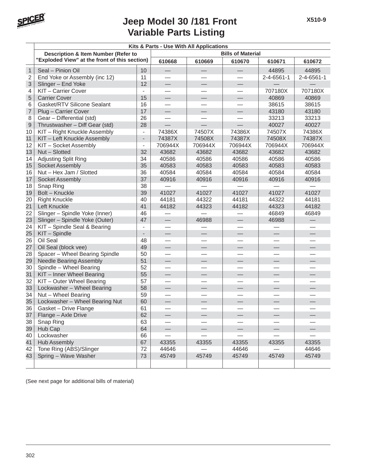

|                | Kits & Parts - Use With All Applications      |                          |                          |                 |                          |                          |                          |  |  |
|----------------|-----------------------------------------------|--------------------------|--------------------------|-----------------|--------------------------|--------------------------|--------------------------|--|--|
|                | Description & Item Number (Refer to           |                          | <b>Bills of Material</b> |                 |                          |                          |                          |  |  |
|                | "Exploded View" at the front of this section) |                          | 610668                   | 610669          | 610670                   | 610671                   | 610672                   |  |  |
| $\mathbf{1}$   | Seal - Pinion Oil                             | 10                       | $\overline{\phantom{0}}$ |                 |                          | 44895                    | 44895                    |  |  |
| $\overline{2}$ | End Yoke or Assembly (inc 12)                 | 11                       |                          |                 |                          | 2-4-6561-1               | $2 - 4 - 6561 - 1$       |  |  |
| 3              | Slinger - End Yoke                            | 12                       | $\qquad \qquad$          | $\qquad \qquad$ | $\qquad \qquad$          |                          |                          |  |  |
| 4              | KIT - Carrier Cover                           | $\overline{\phantom{0}}$ |                          |                 |                          | 707180X                  | 707180X                  |  |  |
| 5              | <b>Carrier Cover</b>                          | 15                       | $\qquad \qquad -$        |                 |                          | 40869                    | 40869                    |  |  |
| 6              | Gasket/RTV Silicone Sealant                   | 16                       |                          |                 |                          | 38615                    | 38615                    |  |  |
| $\overline{7}$ | Plug - Carrier Cover                          | 17                       | $\qquad \qquad$          |                 |                          | 43180                    | 43180                    |  |  |
| 8              | Gear - Differential (std)                     | 26                       | $\equiv$                 |                 | $\overline{\phantom{0}}$ | 33213                    | 33213                    |  |  |
| $\mathsf 9$    | Thrustwasher - Diff Gear (std)                | 28                       |                          |                 |                          | 40027                    | 40027                    |  |  |
| 10             | KIT - Right Knuckle Assembly                  | $\overline{\phantom{a}}$ | 74386X                   | 74507X          | 74386X                   | 74507X                   | 74386X                   |  |  |
| 11             | KIT - Left Knuckle Assembly                   | $\overline{\phantom{a}}$ | 74387X                   | 74508X          | 74387X                   | 74508X                   | 74387X                   |  |  |
| 12             | KIT - Socket Assembly                         | $\overline{\phantom{a}}$ | 706944X                  | 706944X         | 706944X                  | 706944X                  | 706944X                  |  |  |
| 13             | Nut - Slotted                                 | 32                       | 43682                    | 43682           | 43682                    | 43682                    | 43682                    |  |  |
| 14             | <b>Adjusting Split Ring</b>                   | 34                       | 40586                    | 40586           | 40586                    | 40586                    | 40586                    |  |  |
| 15             | Socket Assembly                               | 35                       | 40583                    | 40583           | 40583                    | 40583                    | 40583                    |  |  |
| 16             | Nut - Hex Jam / Slotted                       | 36                       | 40584                    | 40584           | 40584                    | 40584                    | 40584                    |  |  |
| 17             | Socket Assembly                               | 37                       | 40916                    | 40916           | 40916                    | 40916                    | 40916                    |  |  |
| 18             | Snap Ring                                     | 38                       |                          |                 |                          |                          |                          |  |  |
| 19             | Bolt - Knuckle                                | 39                       | 41027                    | 41027           | 41027                    | 41027                    | 41027                    |  |  |
| 20             | <b>Right Knuckle</b>                          | 40                       | 44181                    | 44322           | 44181                    | 44322                    | 44181                    |  |  |
| 21             | Left Knuckle                                  | 41                       | 44182                    | 44323           | 44182                    | 44323                    | 44182                    |  |  |
| 22             | Slinger - Spindle Yoke (Inner)                | 46                       |                          |                 |                          | 46849                    | 46849                    |  |  |
| 23             | Slinger - Spindle Yoke (Outer)                | 47                       | $\qquad \qquad -$        | 46988           |                          | 46988                    | $\overline{\phantom{0}}$ |  |  |
| 24             | KIT - Spindle Seal & Bearing                  | $\blacksquare$           |                          |                 |                          |                          |                          |  |  |
| 25             | KIT - Spindle                                 | $\overline{\phantom{a}}$ | $\overline{\phantom{0}}$ |                 |                          | $\overline{\phantom{0}}$ |                          |  |  |
| 26             | Oil Seal                                      | 48                       |                          |                 |                          |                          |                          |  |  |
| 27             | Oil Seal (block vee)                          | 49                       | $\overline{\phantom{0}}$ |                 |                          | $\overline{\phantom{0}}$ |                          |  |  |
| 28             | Spacer - Wheel Bearing Spindle                | 50                       | $\overline{\phantom{0}}$ |                 | $\overline{\phantom{0}}$ |                          |                          |  |  |
| 29             | <b>Needle Bearing Assembly</b>                | 51                       |                          |                 |                          |                          |                          |  |  |
| 30             | Spindle - Wheel Bearing                       | 52                       |                          |                 |                          |                          |                          |  |  |
| 31             | KIT - Inner Wheel Bearing                     | 55                       |                          |                 |                          |                          | $\overline{\phantom{0}}$ |  |  |
| 32             | KIT - Outer Wheel Bearing                     | 57                       | $\overline{\phantom{0}}$ |                 | $\equiv$                 | $\overline{\phantom{0}}$ | $\overline{\phantom{0}}$ |  |  |
| 33             | Lockwasher - Wheel Bearing                    | 58                       | $\qquad \qquad$          |                 | $\qquad \qquad$          | ═                        |                          |  |  |
| 34             | Nut - Wheel Bearing                           | 59                       |                          |                 |                          |                          |                          |  |  |
| 35             | Lockwasher - Wheel Bearing Nut                | 60                       |                          |                 |                          |                          |                          |  |  |
| 36             | Gasket - Drive Flange                         | 61                       |                          |                 |                          |                          |                          |  |  |
| 37             | Flange - Axle Drive                           | 62                       |                          |                 |                          |                          |                          |  |  |
| 38             | Snap Ring                                     | 63                       |                          |                 |                          |                          |                          |  |  |
| 39             | Hub Cap                                       | 64                       |                          |                 |                          |                          |                          |  |  |
| 40             | Lockwasher                                    | 66                       |                          |                 |                          |                          |                          |  |  |
| 41             | <b>Hub Assembly</b>                           | 67                       | 43355                    | 43355           | 43355                    | 43355                    | 43355                    |  |  |
| 42             | Tone Ring (ABS)/Slinger                       | 72                       | 44646                    |                 | 44646                    |                          | 44646                    |  |  |
| 43             | Spring - Wave Washer                          | 73                       | 45749                    | 45749           | 45749                    | 45749                    | 45749                    |  |  |
|                |                                               |                          |                          |                 |                          |                          |                          |  |  |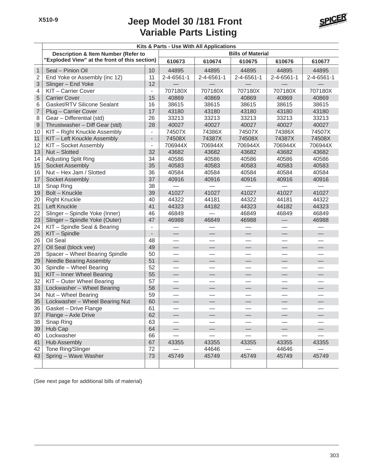

|                  | Kits & Parts - Use With All Applications       |                          |                          |                          |                          |                          |            |  |  |  |
|------------------|------------------------------------------------|--------------------------|--------------------------|--------------------------|--------------------------|--------------------------|------------|--|--|--|
|                  | <b>Description &amp; Item Number (Refer to</b> |                          |                          |                          | <b>Bills of Material</b> |                          |            |  |  |  |
|                  | "Exploded View" at the front of this section)  |                          | 610673                   | 610674                   | 610675                   | 610676                   | 610677     |  |  |  |
| $\mathbf{1}$     | Seal - Pinion Oil                              | 10                       | 44895                    | 44895                    | 44895                    | 44895                    | 44895      |  |  |  |
| $\sqrt{2}$       | End Yoke or Assembly (inc 12)                  | 11                       | 2-4-6561-1               | 2-4-6561-1               | 2-4-6561-1               | 2-4-6561-1               | 2-4-6561-1 |  |  |  |
| 3                | Slinger - End Yoke                             | 12                       |                          |                          |                          |                          |            |  |  |  |
| 4                | KIT-Carrier Cover                              | $\overline{\phantom{a}}$ | 707180X                  | 707180X                  | 707180X                  | 707180X                  | 707180X    |  |  |  |
| 5                | <b>Carrier Cover</b>                           | 15                       | 40869                    | 40869                    | 40869                    | 40869                    | 40869      |  |  |  |
| 6                | Gasket/RTV Silicone Sealant                    | 16                       | 38615                    | 38615                    | 38615                    | 38615                    | 38615      |  |  |  |
| $\overline{7}$   | Plug - Carrier Cover                           | 17                       | 43180                    | 43180                    | 43180                    | 43180                    | 43180      |  |  |  |
| 8                | Gear - Differential (std)                      | 26                       | 33213                    | 33213                    | 33213                    | 33213                    | 33213      |  |  |  |
| $\boldsymbol{9}$ | Thrustwasher - Diff Gear (std)                 | 28                       | 40027                    | 40027                    | 40027                    | 40027                    | 40027      |  |  |  |
| 10               | KIT - Right Knuckle Assembly                   |                          | 74507X                   | 74386X                   | 74507X                   | 74386X                   | 74507X     |  |  |  |
| 11               | KIT - Left Knuckle Assembly                    | $\overline{\phantom{a}}$ | 74508X                   | 74387X                   | 74508X                   | 74387X                   | 74508X     |  |  |  |
| 12               | KIT - Socket Assembly                          | $\overline{\phantom{a}}$ | 706944X                  | 706944X                  | 706944X                  | 706944X                  | 706944X    |  |  |  |
| 13               | Nut - Slotted                                  | 32                       | 43682                    | 43682                    | 43682                    | 43682                    | 43682      |  |  |  |
| 14               | Adjusting Split Ring                           | 34                       | 40586                    | 40586                    | 40586                    | 40586                    | 40586      |  |  |  |
| 15               | <b>Socket Assembly</b>                         | 35                       | 40583                    | 40583                    | 40583                    | 40583                    | 40583      |  |  |  |
| 16               | Nut - Hex Jam / Slotted                        | 36                       | 40584                    | 40584                    | 40584                    | 40584                    | 40584      |  |  |  |
| 17               | Socket Assembly                                | 37                       | 40916                    | 40916                    | 40916                    | 40916                    | 40916      |  |  |  |
| 18               | Snap Ring                                      | 38                       |                          |                          |                          |                          |            |  |  |  |
| 19               | Bolt - Knuckle                                 | 39                       | 41027                    | 41027                    | 41027                    | 41027                    | 41027      |  |  |  |
| 20               | <b>Right Knuckle</b>                           | 40                       | 44322                    | 44181                    | 44322                    | 44181                    | 44322      |  |  |  |
| 21               | Left Knuckle                                   | 41                       | 44323                    | 44182                    | 44323                    | 44182                    | 44323      |  |  |  |
| 22               | Slinger - Spindle Yoke (Inner)                 | 46                       | 46849                    |                          | 46849                    | 46849                    | 46849      |  |  |  |
| 23               | Slinger - Spindle Yoke (Outer)                 | 47                       | 46988                    | 46849                    | 46988                    |                          | 46988      |  |  |  |
| 24               | KIT - Spindle Seal & Bearing                   | $\overline{\phantom{a}}$ |                          |                          |                          |                          |            |  |  |  |
| 25               | KIT - Spindle                                  |                          | $\overline{\phantom{0}}$ |                          |                          | $\qquad \qquad -$        |            |  |  |  |
| 26               | Oil Seal                                       | 48                       |                          |                          |                          |                          |            |  |  |  |
| 27               | Oil Seal (block vee)                           | 49                       | —                        | $\overline{\phantom{0}}$ |                          | $\overline{\phantom{0}}$ |            |  |  |  |
| 28               | Spacer - Wheel Bearing Spindle                 | 50                       | $\overline{\phantom{0}}$ | $\overline{\phantom{0}}$ |                          | $\equiv$                 |            |  |  |  |
| 29               | <b>Needle Bearing Assembly</b>                 | 51                       |                          |                          |                          |                          |            |  |  |  |
| 30               | Spindle - Wheel Bearing                        | 52                       |                          |                          |                          |                          |            |  |  |  |
| 31               | KIT - Inner Wheel Bearing                      | 55                       |                          |                          | $\overline{\phantom{0}}$ |                          |            |  |  |  |
| 32               | KIT - Outer Wheel Bearing                      | 57                       | $\overline{\phantom{0}}$ | $\overline{\phantom{0}}$ |                          | $\equiv$                 |            |  |  |  |
| 33               | Lockwasher - Wheel Bearing                     | 58                       | $\qquad \qquad$          |                          |                          |                          | ♦          |  |  |  |
| 34               | Nut - Wheel Bearing                            | 59                       |                          |                          |                          |                          |            |  |  |  |
| 35               | Lockwasher - Wheel Bearing Nut                 | 60                       |                          |                          |                          |                          |            |  |  |  |
| 36               | Gasket - Drive Flange                          | 61                       |                          |                          |                          |                          |            |  |  |  |
| 37               | Flange - Axle Drive                            | 62                       |                          |                          |                          |                          |            |  |  |  |
| 38               | Snap Ring                                      | 63                       |                          |                          |                          |                          |            |  |  |  |
| 39               | Hub Cap                                        | 64                       |                          |                          |                          |                          |            |  |  |  |
| 40               | Lockwasher                                     | 66                       |                          |                          |                          |                          |            |  |  |  |
| 41               | <b>Hub Assembly</b>                            | 67                       | 43355                    | 43355                    | 43355                    | 43355                    | 43355      |  |  |  |
| 42               | Tone Ring/Slinger                              | 72                       |                          | 44646                    |                          | 44646                    |            |  |  |  |
| 43               | Spring - Wave Washer                           | 73                       | 45749                    | 45749                    | 45749                    | 45749                    | 45749      |  |  |  |
|                  |                                                |                          |                          |                          |                          |                          |            |  |  |  |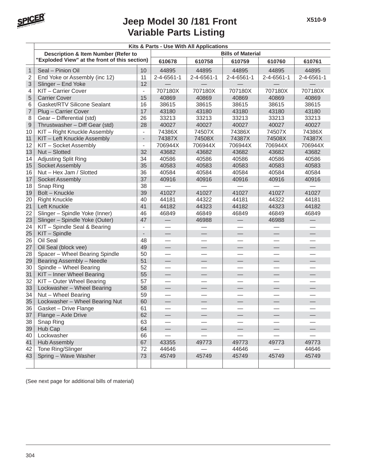

|                | Kits & Parts - Use With All Applications      |                          |                          |                          |                          |                |                |  |  |  |
|----------------|-----------------------------------------------|--------------------------|--------------------------|--------------------------|--------------------------|----------------|----------------|--|--|--|
|                | Description & Item Number (Refer to           |                          | <b>Bills of Material</b> |                          |                          |                |                |  |  |  |
|                | "Exploded View" at the front of this section) |                          | 610678                   | 610758                   | 610759                   | 610760         | 610761         |  |  |  |
| $\mathbf{1}$   | Seal - Pinion Oil                             | 10                       | 44895                    | 44895                    | 44895                    | 44895          | 44895          |  |  |  |
| $\overline{2}$ | End Yoke or Assembly (inc 12)                 | 11                       | $2 - 4 - 6561 - 1$       | $2 - 4 - 6561 - 1$       | 2-4-6561-1               | 2-4-6561-1     | 2-4-6561-1     |  |  |  |
| 3              | Slinger - End Yoke                            | 12                       |                          |                          |                          |                |                |  |  |  |
| 4              | KIT - Carrier Cover                           | $\overline{\phantom{a}}$ | 707180X                  | 707180X                  | 707180X                  | 707180X        | 707180X        |  |  |  |
| 5              | <b>Carrier Cover</b>                          | 15                       | 40869                    | 40869                    | 40869                    | 40869          | 40869          |  |  |  |
| 6              | Gasket/RTV Silicone Sealant                   | 16                       | 38615                    | 38615                    | 38615                    | 38615          | 38615          |  |  |  |
| $\overline{7}$ | Plug - Carrier Cover                          | 17                       | 43180                    | 43180                    | 43180                    | 43180          | 43180          |  |  |  |
| 8              | Gear - Differential (std)                     | 26                       | 33213                    | 33213                    | 33213                    | 33213          | 33213          |  |  |  |
| 9              | Thrustwasher - Diff Gear (std)                | 28                       | 40027                    | 40027                    | 40027                    | 40027          | 40027          |  |  |  |
| 10             | KIT - Right Knuckle Assembly                  | $\blacksquare$           | 74386X                   | 74507X                   | 74386X                   | 74507X         | 74386X         |  |  |  |
| 11             | KIT - Left Knuckle Assembly                   | $\overline{\phantom{a}}$ | 74387X                   | 74508X                   | 74387X                   | 74508X         | 74387X         |  |  |  |
| 12             | KIT - Socket Assembly                         | $\blacksquare$           | 706944X                  | 706944X                  | 706944X                  | 706944X        | 706944X        |  |  |  |
| 13<br>14       | Nut - Slotted                                 | 32<br>34                 | 43682<br>40586           | 43682<br>40586           | 43682<br>40586           | 43682<br>40586 | 43682<br>40586 |  |  |  |
| 15             | Adjusting Split Ring<br>Socket Assembly       | 35                       | 40583                    | 40583                    | 40583                    | 40583          | 40583          |  |  |  |
| 16             | Nut - Hex Jam / Slotted                       | 36                       | 40584                    | 40584                    | 40584                    | 40584          | 40584          |  |  |  |
| 17             | Socket Assembly                               | 37                       | 40916                    | 40916                    | 40916                    | 40916          | 40916          |  |  |  |
| 18             | Snap Ring                                     | 38                       |                          |                          |                          |                |                |  |  |  |
| 19             | Bolt - Knuckle                                | 39                       | 41027                    | 41027                    | 41027                    | 41027          | 41027          |  |  |  |
| 20             | <b>Right Knuckle</b>                          | 40                       | 44181                    | 44322                    | 44181                    | 44322          | 44181          |  |  |  |
| 21             | Left Knuckle                                  | 41                       | 44182                    | 44323                    | 44182                    | 44323          | 44182          |  |  |  |
| 22             | Slinger - Spindle Yoke (Inner)                | 46                       | 46849                    | 46849                    | 46849                    | 46849          | 46849          |  |  |  |
| 23             | Slinger - Spindle Yoke (Outer)                | 47                       |                          | 46988                    | $\overline{\phantom{0}}$ | 46988          |                |  |  |  |
| 24             | KIT - Spindle Seal & Bearing                  | $\overline{\phantom{a}}$ |                          |                          |                          |                |                |  |  |  |
| 25             | KIT - Spindle                                 |                          | $\qquad \qquad -$        |                          |                          |                |                |  |  |  |
| 26             | Oil Seal                                      | 48                       |                          |                          |                          |                |                |  |  |  |
| 27             | Oil Seal (block vee)                          | 49                       | $\overline{\phantom{0}}$ |                          | $\overline{\phantom{0}}$ | $\Rightarrow$  |                |  |  |  |
| 28             | Spacer - Wheel Bearing Spindle                | 50                       | $\overline{\phantom{0}}$ |                          | $\overline{\phantom{a}}$ |                |                |  |  |  |
| 29             | Bearing Assembly - Needle                     | 51                       | $\overline{\phantom{0}}$ |                          | ⊖                        |                |                |  |  |  |
| 30             | Spindle - Wheel Bearing                       | 52                       |                          |                          |                          |                |                |  |  |  |
| 31             | KIT - Inner Wheel Bearing                     | 55                       |                          |                          |                          |                |                |  |  |  |
| 32             | KIT - Outer Wheel Bearing                     | 57                       |                          |                          |                          |                |                |  |  |  |
| 33             | Lockwasher - Wheel Bearing                    | 58                       | $\overline{\phantom{0}}$ | $\overline{\phantom{0}}$ | $\frac{1}{2}$            |                |                |  |  |  |
| 34             | Nut - Wheel Bearing                           | 59                       | $\overline{\phantom{0}}$ |                          |                          | —              |                |  |  |  |
| 35             | Lockwasher - Wheel Bearing Nut                | 60                       |                          |                          |                          |                |                |  |  |  |
| 36             | Gasket - Drive Flange                         | 61<br>62                 |                          |                          |                          |                |                |  |  |  |
| 37<br>38       | Flange - Axle Drive<br>Snap Ring              | 63                       |                          |                          |                          |                |                |  |  |  |
| 39             | Hub Cap                                       | 64                       | $\overline{\phantom{0}}$ |                          |                          |                |                |  |  |  |
| 40             | Lockwasher                                    | 66                       |                          |                          |                          |                |                |  |  |  |
| 41             | <b>Hub Assembly</b>                           | 67                       | 43355                    | 49773                    | 49773                    | 49773          | 49773          |  |  |  |
| 42             | Tone Ring/Slinger                             | 72                       | 44646                    |                          | 44646                    |                | 44646          |  |  |  |
| 43             | Spring - Wave Washer                          | 73                       | 45749                    | 45749                    | 45749                    | 45749          | 45749          |  |  |  |
|                |                                               |                          |                          |                          |                          |                |                |  |  |  |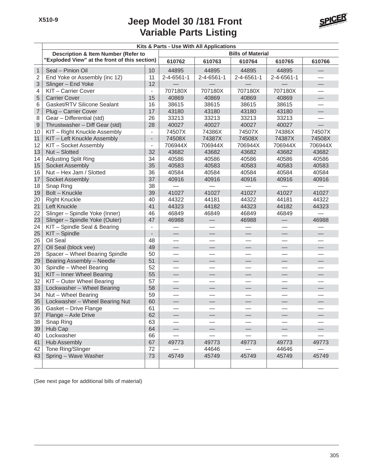

|                | Kits & Parts - Use With All Applications       |                          |                          |                          |                    |                          |                          |  |  |  |  |
|----------------|------------------------------------------------|--------------------------|--------------------------|--------------------------|--------------------|--------------------------|--------------------------|--|--|--|--|
|                | <b>Description &amp; Item Number (Refer to</b> |                          | <b>Bills of Material</b> |                          |                    |                          |                          |  |  |  |  |
|                | "Exploded View" at the front of this section)  |                          | 610762                   | 610763                   | 610764             | 610765                   | 610766                   |  |  |  |  |
| $\mathbf{1}$   | Seal - Pinion Oil                              | 10 <sup>1</sup>          | 44895                    | 44895                    | 44895              | 44895                    |                          |  |  |  |  |
| $\sqrt{2}$     | End Yoke or Assembly (inc 12)                  | 11                       | 2-4-6561-1               | 2-4-6561-1               | $2 - 4 - 6561 - 1$ | 2-4-6561-1               |                          |  |  |  |  |
| 3              | Slinger - End Yoke                             | 12                       |                          |                          |                    |                          | $\qquad \qquad$          |  |  |  |  |
| 4              | KIT-Carrier Cover                              | $\overline{\phantom{0}}$ | 707180X                  | 707180X                  | 707180X            | 707180X                  |                          |  |  |  |  |
| 5              | <b>Carrier Cover</b>                           | 15                       | 40869                    | 40869                    | 40869              | 40869                    | $\bigoplus$              |  |  |  |  |
| 6              | Gasket/RTV Silicone Sealant                    | 16                       | 38615                    | 38615                    | 38615              | 38615                    |                          |  |  |  |  |
| $\overline{7}$ | Plug - Carrier Cover                           | 17                       | 43180                    | 43180                    | 43180              | 43180                    |                          |  |  |  |  |
| 8              | Gear - Differential (std)                      | 26                       | 33213                    | 33213                    | 33213              | 33213                    |                          |  |  |  |  |
| 9              | Thrustwasher - Diff Gear (std)                 | 28                       | 40027                    | 40027                    | 40027              | 40027                    |                          |  |  |  |  |
| 10             | KIT - Right Knuckle Assembly                   | $\overline{\phantom{0}}$ | 74507X                   | 74386X                   | 74507X             | 74386X                   | 74507X                   |  |  |  |  |
| 11             | KIT - Left Knuckle Assembly                    |                          | 74508X                   | 74387X                   | 74508X             | 74387X                   | 74508X                   |  |  |  |  |
| 12             | KIT - Socket Assembly                          | $\overline{\phantom{0}}$ | 706944X                  | 706944X                  | 706944X            | 706944X                  | 706944X                  |  |  |  |  |
| 13             | Nut - Slotted                                  | 32                       | 43682                    | 43682                    | 43682              | 43682                    | 43682                    |  |  |  |  |
| 14             | Adjusting Split Ring                           | 34                       | 40586                    | 40586                    | 40586              | 40586                    | 40586                    |  |  |  |  |
| 15             | Socket Assembly                                | 35                       | 40583                    | 40583                    | 40583              | 40583                    | 40583                    |  |  |  |  |
| 16             | Nut - Hex Jam / Slotted                        | 36                       | 40584                    | 40584                    | 40584              | 40584                    | 40584                    |  |  |  |  |
| 17             | <b>Socket Assembly</b>                         | 37                       | 40916                    | 40916                    | 40916              | 40916                    | 40916                    |  |  |  |  |
| 18             | Snap Ring                                      | 38                       |                          |                          |                    |                          |                          |  |  |  |  |
| 19             | Bolt - Knuckle                                 | 39                       | 41027                    | 41027                    | 41027              | 41027                    | 41027                    |  |  |  |  |
| 20             | <b>Right Knuckle</b>                           | 40                       | 44322                    | 44181                    | 44322              | 44181                    | 44322                    |  |  |  |  |
| 21             | Left Knuckle                                   | 41                       | 44323                    | 44182                    | 44323              | 44182                    | 44323                    |  |  |  |  |
| 22             | Slinger - Spindle Yoke (Inner)                 | 46                       | 46849                    | 46849                    | 46849              | 46849                    |                          |  |  |  |  |
| 23             | Slinger - Spindle Yoke (Outer)                 | 47                       | 46988                    | $\overline{\phantom{0}}$ | 46988              | $\qquad \qquad -$        | 46988                    |  |  |  |  |
| 24             | KIT - Spindle Seal & Bearing                   |                          |                          | $\overline{\phantom{0}}$ |                    |                          |                          |  |  |  |  |
| 25             | KIT - Spindle                                  |                          |                          | $\overline{\phantom{0}}$ |                    |                          |                          |  |  |  |  |
| 26             | Oil Seal                                       | 48                       |                          |                          |                    |                          |                          |  |  |  |  |
| 27             | Oil Seal (block vee)                           | 49                       | $\overline{\phantom{0}}$ |                          |                    | $\qquad \qquad -$        | $\overline{\phantom{0}}$ |  |  |  |  |
| 28             | Spacer - Wheel Bearing Spindle                 | 50                       |                          |                          |                    |                          |                          |  |  |  |  |
| 29             | Bearing Assembly - Needle                      | 51                       |                          | $\overline{\phantom{0}}$ |                    | $\overline{\phantom{0}}$ |                          |  |  |  |  |
| 30             | Spindle - Wheel Bearing                        | 52                       |                          |                          |                    |                          |                          |  |  |  |  |
| 31             | KIT - Inner Wheel Bearing                      | 55                       |                          |                          |                    |                          |                          |  |  |  |  |
| 32             | KIT - Outer Wheel Bearing                      | 57                       |                          |                          |                    |                          |                          |  |  |  |  |
| 33             | Lockwasher - Wheel Bearing                     | 58                       |                          |                          |                    |                          | $\overline{\phantom{0}}$ |  |  |  |  |
| 34             | Nut - Wheel Bearing                            | 59                       |                          |                          |                    |                          |                          |  |  |  |  |
| 35             | Lockwasher - Wheel Bearing Nut                 | 60                       |                          |                          |                    |                          |                          |  |  |  |  |
| 36             | Gasket - Drive Flange                          | 61                       |                          |                          |                    |                          |                          |  |  |  |  |
| 37             | Flange - Axle Drive                            | 62                       |                          |                          |                    |                          |                          |  |  |  |  |
| 38             | Snap Ring                                      | 63                       |                          |                          |                    |                          |                          |  |  |  |  |
| 39             | Hub Cap                                        | 64                       |                          |                          |                    | $\overline{\phantom{0}}$ |                          |  |  |  |  |
| 40             | Lockwasher                                     | 66                       |                          |                          |                    |                          |                          |  |  |  |  |
| 41             | <b>Hub Assembly</b>                            | 67                       | 49773                    | 49773                    | 49773              | 49773                    | 49773                    |  |  |  |  |
| 42             | Tone Ring/Slinger                              | 72                       |                          | 44646                    |                    | 44646                    |                          |  |  |  |  |
| 43             | Spring - Wave Washer                           | 73                       | 45749                    | 45749                    | 45749              | 45749                    | 45749                    |  |  |  |  |
|                |                                                |                          |                          |                          |                    |                          |                          |  |  |  |  |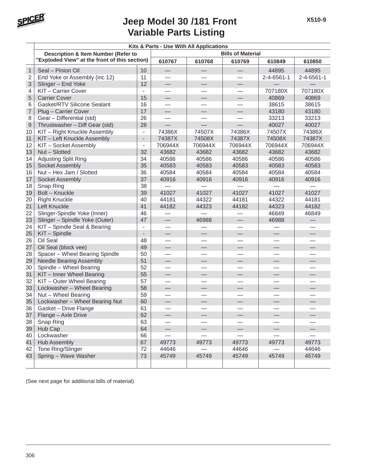

|                 | Kits & Parts - Use With All Applications      |                          |                          |          |                          |                          |                          |  |  |
|-----------------|-----------------------------------------------|--------------------------|--------------------------|----------|--------------------------|--------------------------|--------------------------|--|--|
|                 | Description & Item Number (Refer to           |                          | <b>Bills of Material</b> |          |                          |                          |                          |  |  |
|                 | "Exploded View" at the front of this section) |                          | 610767                   | 610768   | 610769                   | 610849                   | 610850                   |  |  |
| $\mathbf{1}$    | Seal - Pinion Oil                             | 10                       | $\overline{\phantom{0}}$ |          |                          | 44895                    | 44895                    |  |  |
| $\overline{2}$  | End Yoke or Assembly (inc 12)                 | 11                       |                          |          |                          | 2-4-6561-1               | $2 - 4 - 6561 - 1$       |  |  |
| 3               | Slinger - End Yoke                            | 12                       | $\qquad \qquad$          | $\equiv$ |                          |                          |                          |  |  |
| 4               | KIT - Carrier Cover                           | $\overline{\phantom{a}}$ |                          |          |                          | 707180X                  | 707180X                  |  |  |
| 5               | <b>Carrier Cover</b>                          | 15                       | $\overline{\phantom{0}}$ |          |                          | 40869                    | 40869                    |  |  |
| 6               | Gasket/RTV Silicone Sealant                   | 16                       |                          |          |                          | 38615                    | 38615                    |  |  |
| $\overline{7}$  | Plug - Carrier Cover                          | 17                       | $\overline{\phantom{0}}$ |          |                          | 43180                    | 43180                    |  |  |
| 8               | Gear - Differential (std)                     | 26                       | $\overline{\phantom{0}}$ |          | $\overline{\phantom{0}}$ | 33213                    | 33213                    |  |  |
| $\mathsf 9$     | Thrustwasher - Diff Gear (std)                | 28                       |                          |          |                          | 40027                    | 40027                    |  |  |
| 10              | KIT - Right Knuckle Assembly                  | $\blacksquare$           | 74386X                   | 74507X   | 74386X                   | 74507X                   | 74386X                   |  |  |
| 11              | KIT - Left Knuckle Assembly                   | $\overline{\phantom{a}}$ | 74387X                   | 74508X   | 74387X                   | 74508X                   | 74387X                   |  |  |
| 12              | KIT - Socket Assembly                         | $\overline{\phantom{a}}$ | 706944X                  | 706944X  | 706944X                  | 706944X                  | 706944X                  |  |  |
| 13              | Nut - Slotted                                 | 32                       | 43682                    | 43682    | 43682                    | 43682                    | 43682                    |  |  |
| 14              | Adjusting Split Ring                          | 34                       | 40586                    | 40586    | 40586                    | 40586                    | 40586                    |  |  |
| 15              | <b>Socket Assembly</b>                        | 35                       | 40583                    | 40583    | 40583                    | 40583                    | 40583                    |  |  |
| 16              | Nut - Hex Jam / Slotted                       | 36                       | 40584                    | 40584    | 40584                    | 40584                    | 40584                    |  |  |
| 17              | Socket Assembly                               | 37                       | 40916                    | 40916    | 40916                    | 40916                    | 40916                    |  |  |
| 18              | Snap Ring                                     | 38                       |                          |          |                          |                          |                          |  |  |
| 19              | Bolt - Knuckle                                | 39                       | 41027                    | 41027    | 41027                    | 41027                    | 41027                    |  |  |
| 20              | <b>Right Knuckle</b>                          | 40                       | 44181                    | 44322    | 44181                    | 44322                    | 44181                    |  |  |
| 21              | Left Knuckle                                  | 41                       | 44182                    | 44323    | 44182                    | 44323                    | 44182                    |  |  |
| 22              | Slinger-Spindle Yoke (Inner)                  | 46                       |                          |          |                          | 46849                    | 46849                    |  |  |
| 23              | Slinger - Spindle Yoke (Outer)                | 47                       | $\qquad \qquad$          | 46988    | $\overline{\phantom{0}}$ | 46988                    | $\overline{\phantom{0}}$ |  |  |
| $\overline{24}$ | KIT - Spindle Seal & Bearing                  | $\overline{\phantom{a}}$ |                          |          |                          |                          |                          |  |  |
| 25              | KIT - Spindle                                 | $\overline{\phantom{a}}$ |                          |          | $\overline{\phantom{0}}$ | $\frac{1}{2}$            |                          |  |  |
| 26              | Oil Seal                                      | 48                       |                          |          |                          |                          |                          |  |  |
| 27              | Oil Seal (block vee)                          | 49                       | —                        |          |                          | $\overline{\phantom{0}}$ |                          |  |  |
| 28              | Spacer - Wheel Bearing Spindle                | 50                       | $\overline{\phantom{0}}$ |          | $\overline{\phantom{0}}$ |                          |                          |  |  |
| 29              | <b>Needle Bearing Assembly</b>                | 51                       |                          |          |                          |                          |                          |  |  |
| 30              | Spindle - Wheel Bearing                       | 52                       |                          |          |                          |                          |                          |  |  |
| 31              | KIT - Inner Wheel Bearing                     | 55                       | $\overline{\phantom{0}}$ |          | $\overline{\phantom{0}}$ |                          | $\overline{\phantom{0}}$ |  |  |
| 32              | KIT - Outer Wheel Bearing                     | 57                       | $\overline{\phantom{0}}$ |          | $\overline{\phantom{0}}$ |                          |                          |  |  |
| 33              | Lockwasher - Wheel Bearing                    | 58                       | $\qquad \qquad$          |          | $\overline{\phantom{0}}$ | ═                        |                          |  |  |
| 34              | Nut - Wheel Bearing                           | 59                       |                          |          |                          |                          |                          |  |  |
| 35              | Lockwasher - Wheel Bearing Nut                | 60                       |                          |          | $\overline{\phantom{0}}$ | $\overline{\phantom{0}}$ |                          |  |  |
| 36              | Gasket - Drive Flange                         | 61                       |                          |          |                          |                          |                          |  |  |
| 37              | Flange - Axle Drive                           | 62                       |                          |          |                          |                          |                          |  |  |
| 38              | Snap Ring                                     | 63                       |                          |          |                          |                          |                          |  |  |
| 39              | Hub Cap                                       | 64                       |                          |          |                          |                          |                          |  |  |
| 40              | Lockwasher                                    | 66                       |                          |          |                          |                          |                          |  |  |
| 41              | <b>Hub Assembly</b>                           | 67                       | 49773                    | 49773    | 49773                    | 49773                    | 49773                    |  |  |
| 42              | Tone Ring/Slinger                             | 72                       | 44646                    |          | 44646                    |                          | 44646                    |  |  |
| 43              | Spring - Wave Washer                          | 73                       | 45749                    | 45749    | 45749                    | 45749                    | 45749                    |  |  |
|                 |                                               |                          |                          |          |                          |                          |                          |  |  |